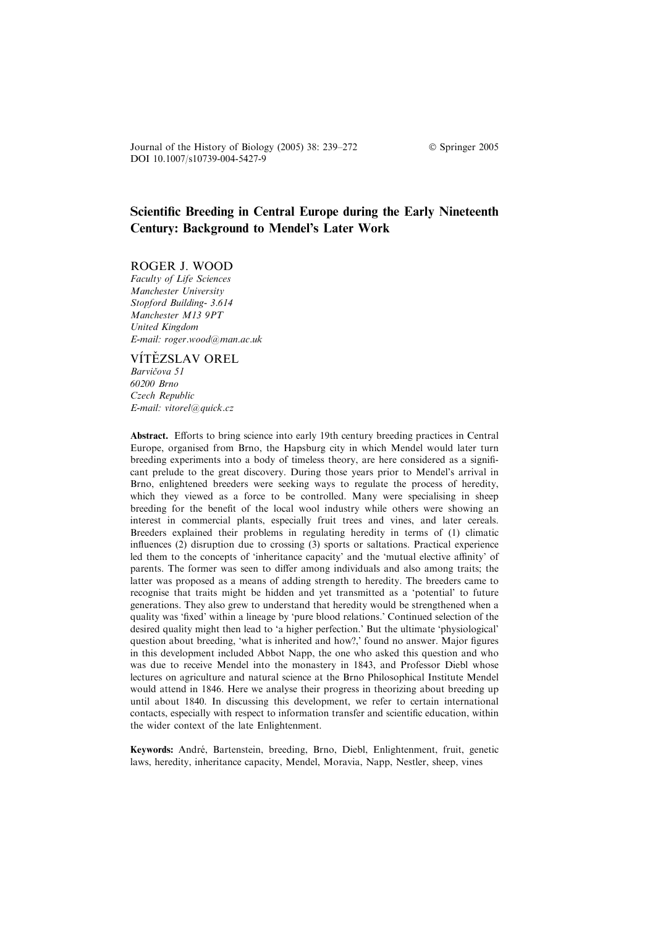Journal of the History of Biology  $(2005)$  38: 239–272  $\circ$  Springer 2005 DOI 10.1007/s10739-004-5427-9

# Scientific Breeding in Central Europe during the Early Nineteenth Century: Background to Mendel's Later Work

#### ROGER J. WOOD

Faculty of Life Sciences Manchester University Stopford Building- 3.614 Manchester M13 9PT United Kingdom E-mail: roger.wood@man.ac.uk

# VÍTĚZSLAV OREL

Barvičova 51 60200 Brno Czech Republic E-mail: vitorel@quick.cz

Abstract. Efforts to bring science into early 19th century breeding practices in Central Europe, organised from Brno, the Hapsburg city in which Mendel would later turn breeding experiments into a body of timeless theory, are here considered as a significant prelude to the great discovery. During those years prior to Mendel's arrival in Brno, enlightened breeders were seeking ways to regulate the process of heredity, which they viewed as a force to be controlled. Many were specialising in sheep breeding for the benefit of the local wool industry while others were showing an interest in commercial plants, especially fruit trees and vines, and later cereals. Breeders explained their problems in regulating heredity in terms of (1) climatic influences (2) disruption due to crossing (3) sports or saltations. Practical experience led them to the concepts of 'inheritance capacity' and the 'mutual elective affinity' of parents. The former was seen to differ among individuals and also among traits; the latter was proposed as a means of adding strength to heredity. The breeders came to recognise that traits might be hidden and yet transmitted as a 'potential' to future generations. They also grew to understand that heredity would be strengthened when a quality was 'fixed' within a lineage by 'pure blood relations.' Continued selection of the desired quality might then lead to 'a higher perfection.' But the ultimate 'physiological' question about breeding, 'what is inherited and how?,' found no answer. Major figures in this development included Abbot Napp, the one who asked this question and who was due to receive Mendel into the monastery in 1843, and Professor Diebl whose lectures on agriculture and natural science at the Brno Philosophical Institute Mendel would attend in 1846. Here we analyse their progress in theorizing about breeding up until about 1840. In discussing this development, we refer to certain international contacts, especially with respect to information transfer and scientific education, within the wider context of the late Enlightenment.

Keywords: Andre´, Bartenstein, breeding, Brno, Diebl, Enlightenment, fruit, genetic laws, heredity, inheritance capacity, Mendel, Moravia, Napp, Nestler, sheep, vines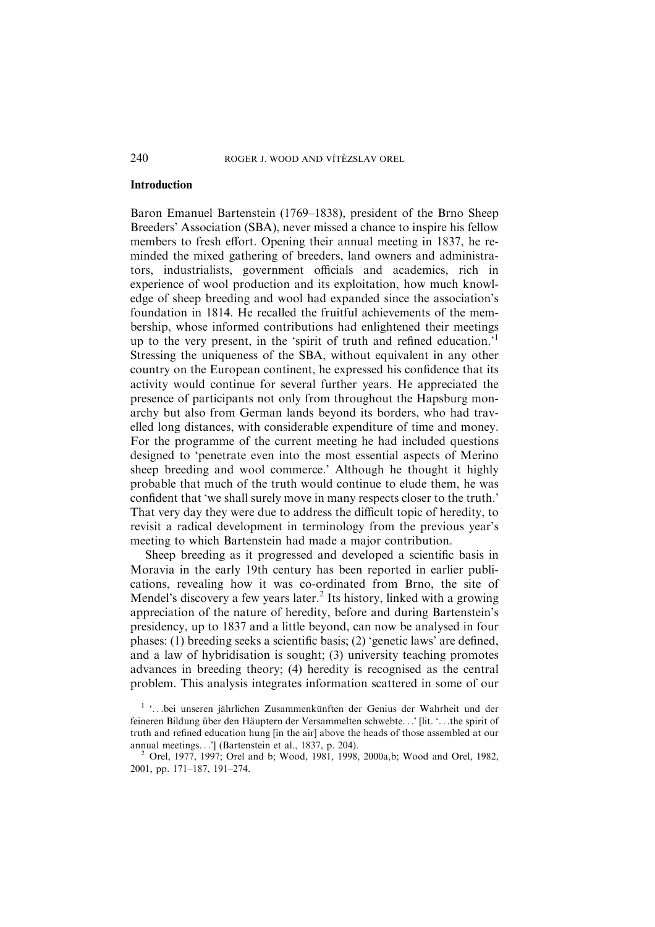#### **Introduction**

Baron Emanuel Bartenstein (1769–1838), president of the Brno Sheep Breeders' Association (SBA), never missed a chance to inspire his fellow members to fresh effort. Opening their annual meeting in 1837, he reminded the mixed gathering of breeders, land owners and administrators, industrialists, government officials and academics, rich in experience of wool production and its exploitation, how much knowledge of sheep breeding and wool had expanded since the association's foundation in 1814. He recalled the fruitful achievements of the membership, whose informed contributions had enlightened their meetings up to the very present, in the 'spirit of truth and refined education.'1 Stressing the uniqueness of the SBA, without equivalent in any other country on the European continent, he expressed his confidence that its activity would continue for several further years. He appreciated the presence of participants not only from throughout the Hapsburg monarchy but also from German lands beyond its borders, who had travelled long distances, with considerable expenditure of time and money. For the programme of the current meeting he had included questions designed to 'penetrate even into the most essential aspects of Merino sheep breeding and wool commerce.' Although he thought it highly probable that much of the truth would continue to elude them, he was confident that 'we shall surely move in many respects closer to the truth.' That very day they were due to address the difficult topic of heredity, to revisit a radical development in terminology from the previous year's meeting to which Bartenstein had made a major contribution.

Sheep breeding as it progressed and developed a scientific basis in Moravia in the early 19th century has been reported in earlier publications, revealing how it was co-ordinated from Brno, the site of Mendel's discovery a few years later.<sup>2</sup> Its history, linked with a growing appreciation of the nature of heredity, before and during Bartenstein's presidency, up to 1837 and a little beyond, can now be analysed in four phases: (1) breeding seeks a scientific basis; (2) 'genetic laws' are defined, and a law of hybridisation is sought; (3) university teaching promotes advances in breeding theory; (4) heredity is recognised as the central problem. This analysis integrates information scattered in some of our

 $1$ '...bei unseren jährlichen Zusammenkünften der Genius der Wahrheit und der feineren Bildung über den Häuptern der Versammelten schwebte...' [lit. '...the spirit of truth and refined education hung [in the air] above the heads of those assembled at our annual meetings...'] (Bartenstein et al., 1837, p. 204). <sup>2</sup> Orel, 1977, 1997; Orel and b; Wood, 1981, 1998, 2000a,b; Wood and Orel, 1982,

<sup>2001,</sup> pp. 171–187, 191–274.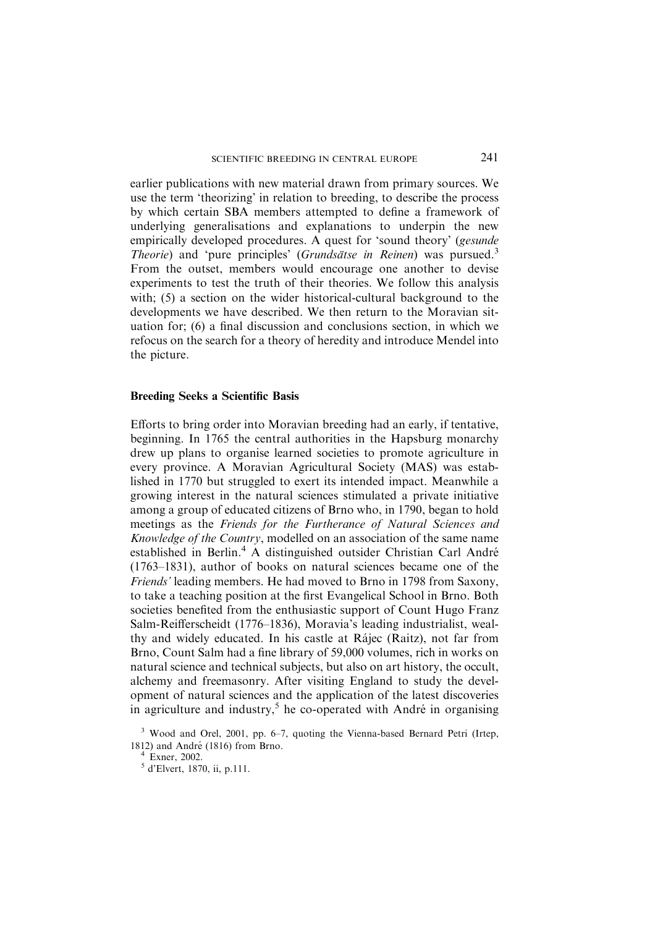earlier publications with new material drawn from primary sources. We use the term 'theorizing' in relation to breeding, to describe the process by which certain SBA members attempted to define a framework of underlying generalisations and explanations to underpin the new empirically developed procedures. A quest for 'sound theory' (*gesunde*) *Theorie*) and 'pure principles' (*Grundsätse in Reinen*) was pursued.<sup>3</sup> From the outset, members would encourage one another to devise experiments to test the truth of their theories. We follow this analysis with; (5) a section on the wider historical-cultural background to the developments we have described. We then return to the Moravian situation for; (6) a final discussion and conclusions section, in which we refocus on the search for a theory of heredity and introduce Mendel into the picture.

## Breeding Seeks a Scientific Basis

Efforts to bring order into Moravian breeding had an early, if tentative, beginning. In 1765 the central authorities in the Hapsburg monarchy drew up plans to organise learned societies to promote agriculture in every province. A Moravian Agricultural Society (MAS) was established in 1770 but struggled to exert its intended impact. Meanwhile a growing interest in the natural sciences stimulated a private initiative among a group of educated citizens of Brno who, in 1790, began to hold meetings as the Friends for the Furtherance of Natural Sciences and Knowledge of the Country, modelled on an association of the same name established in Berlin.<sup>4</sup> A distinguished outsider Christian Carl André (1763–1831), author of books on natural sciences became one of the Friends' leading members. He had moved to Brno in 1798 from Saxony, to take a teaching position at the first Evangelical School in Brno. Both societies benefited from the enthusiastic support of Count Hugo Franz Salm-Reifferscheidt (1776–1836), Moravia's leading industrialist, wealthy and widely educated. In his castle at Ra´jec (Raitz), not far from Brno, Count Salm had a fine library of 59,000 volumes, rich in works on natural science and technical subjects, but also on art history, the occult, alchemy and freemasonry. After visiting England to study the development of natural sciences and the application of the latest discoveries in agriculture and industry,  $5$  he co-operated with André in organising

<sup>3</sup> Wood and Orel, 2001, pp. 6–7, quoting the Vienna-based Bernard Petri (Irtep, 1812) and André (1816) from Brno.<br> $^{4}$  Exner, 2002.<br> $^{5}$  d'Elvert, 1870, ii, p.111.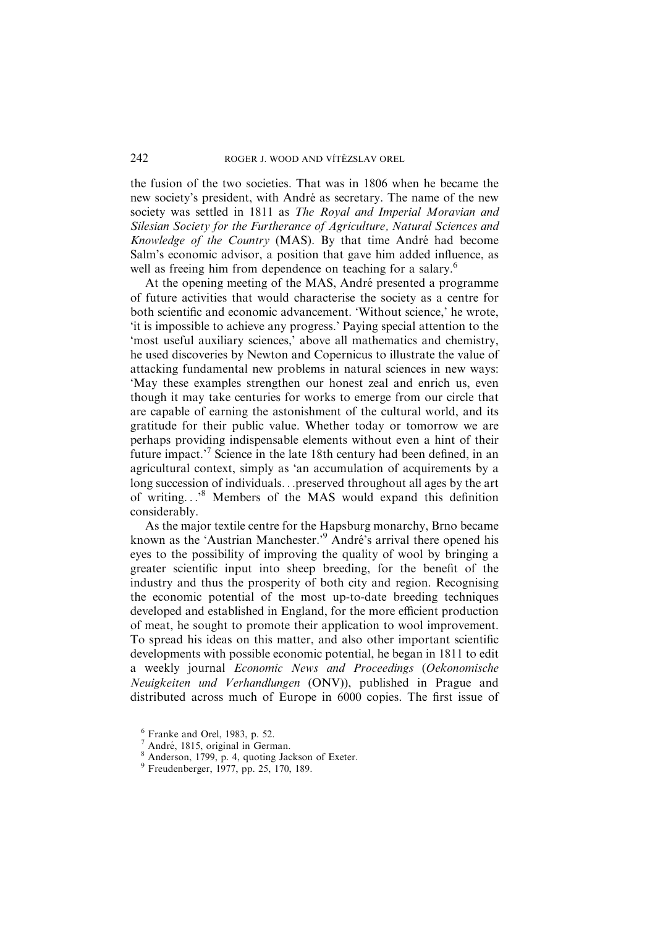the fusion of the two societies. That was in 1806 when he became the new society's president, with André as secretary. The name of the new society was settled in 1811 as The Royal and Imperial Moravian and Silesian Society for the Furtherance of Agriculture, Natural Sciences and Knowledge of the Country (MAS). By that time André had become Salm's economic advisor, a position that gave him added influence, as well as freeing him from dependence on teaching for a salary.<sup>6</sup>

At the opening meeting of the MAS, André presented a programme of future activities that would characterise the society as a centre for both scientific and economic advancement. 'Without science,' he wrote, 'it is impossible to achieve any progress.' Paying special attention to the 'most useful auxiliary sciences,' above all mathematics and chemistry, he used discoveries by Newton and Copernicus to illustrate the value of attacking fundamental new problems in natural sciences in new ways: 'May these examples strengthen our honest zeal and enrich us, even though it may take centuries for works to emerge from our circle that are capable of earning the astonishment of the cultural world, and its gratitude for their public value. Whether today or tomorrow we are perhaps providing indispensable elements without even a hint of their future impact.'<sup>7</sup> Science in the late 18th century had been defined, in an agricultural context, simply as 'an accumulation of acquirements by a long succession of individuals...preserved throughout all ages by the art of writing...' <sup>8</sup> Members of the MAS would expand this definition considerably.

As the major textile centre for the Hapsburg monarchy, Brno became known as the 'Austrian Manchester.'<sup>9</sup> André's arrival there opened his eyes to the possibility of improving the quality of wool by bringing a greater scientific input into sheep breeding, for the benefit of the industry and thus the prosperity of both city and region. Recognising the economic potential of the most up-to-date breeding techniques developed and established in England, for the more efficient production of meat, he sought to promote their application to wool improvement. To spread his ideas on this matter, and also other important scientific developments with possible economic potential, he began in 1811 to edit a weekly journal Economic News and Proceedings (Oekonomische Neuigkeiten und Verhandlungen (ONV)), published in Prague and distributed across much of Europe in 6000 copies. The first issue of

 $^6$  Franke and Orel, 1983, p. 52.<br> $^7$  André, 1815, original in German.

 $\frac{8 \text{ Anderson}, 1799, p. 4, quoting Jackson of Exeter.}$ 

<sup>9</sup> Freudenberger, 1977, pp. 25, 170, 189.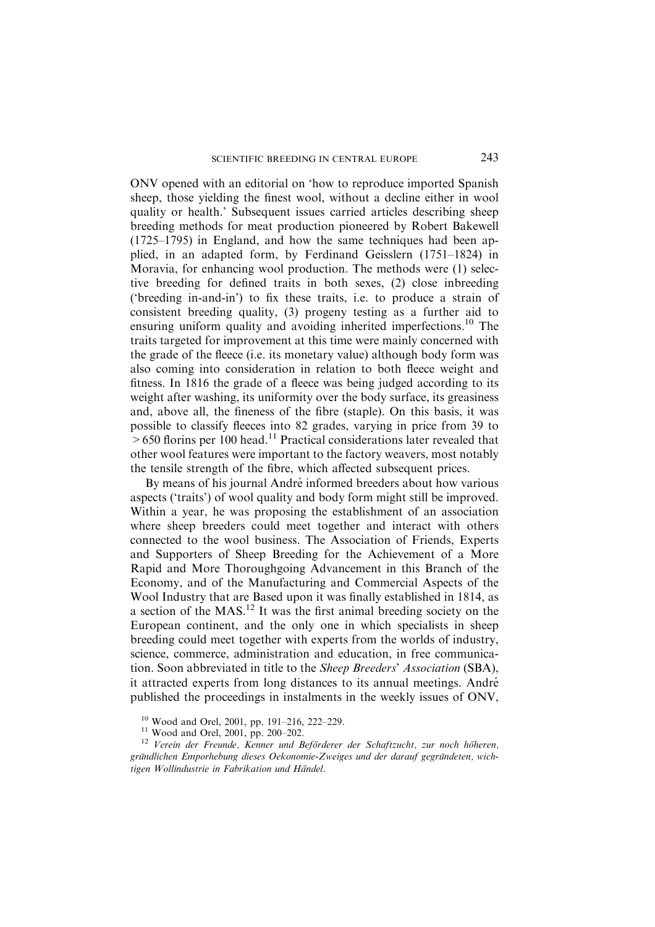ONV opened with an editorial on 'how to reproduce imported Spanish sheep, those yielding the finest wool, without a decline either in wool quality or health.' Subsequent issues carried articles describing sheep breeding methods for meat production pioneered by Robert Bakewell (1725–1795) in England, and how the same techniques had been applied, in an adapted form, by Ferdinand Geisslern (1751–1824) in Moravia, for enhancing wool production. The methods were (1) selective breeding for defined traits in both sexes, (2) close inbreeding ('breeding in-and-in') to fix these traits, i.e. to produce a strain of consistent breeding quality, (3) progeny testing as a further aid to ensuring uniform quality and avoiding inherited imperfections.<sup>10</sup> The traits targeted for improvement at this time were mainly concerned with the grade of the fleece (i.e. its monetary value) although body form was also coming into consideration in relation to both fleece weight and fitness. In 1816 the grade of a fleece was being judged according to its weight after washing, its uniformity over the body surface, its greasiness and, above all, the fineness of the fibre (staple). On this basis, it was possible to classify fleeces into 82 grades, varying in price from 39 to  $>650$  florins per 100 head.<sup>11</sup> Practical considerations later revealed that other wool features were important to the factory weavers, most notably the tensile strength of the fibre, which affected subsequent prices.

By means of his journal André informed breeders about how various aspects ('traits') of wool quality and body form might still be improved. Within a year, he was proposing the establishment of an association where sheep breeders could meet together and interact with others connected to the wool business. The Association of Friends, Experts and Supporters of Sheep Breeding for the Achievement of a More Rapid and More Thoroughgoing Advancement in this Branch of the Economy, and of the Manufacturing and Commercial Aspects of the Wool Industry that are Based upon it was finally established in 1814, as a section of the MAS.12 It was the first animal breeding society on the European continent, and the only one in which specialists in sheep breeding could meet together with experts from the worlds of industry, science, commerce, administration and education, in free communication. Soon abbreviated in title to the Sheep Breeders' Association (SBA), it attracted experts from long distances to its annual meetings. André published the proceedings in instalments in the weekly issues of ONV,

<sup>&</sup>lt;sup>10</sup> Wood and Orel, 2001, pp. 191–216, 222–229.<br><sup>11</sup> Wood and Orel, 2001, pp. 200–202.<br><sup>12</sup> Verein der Freunde, Kenner und Beförderer der Schaftzucht, zur noch höheren, gründlichen Emporhebung dieses Oekonomie-Zweiges und der darauf gegründeten, wichtigen Wollindustrie in Fabrikation und Händel.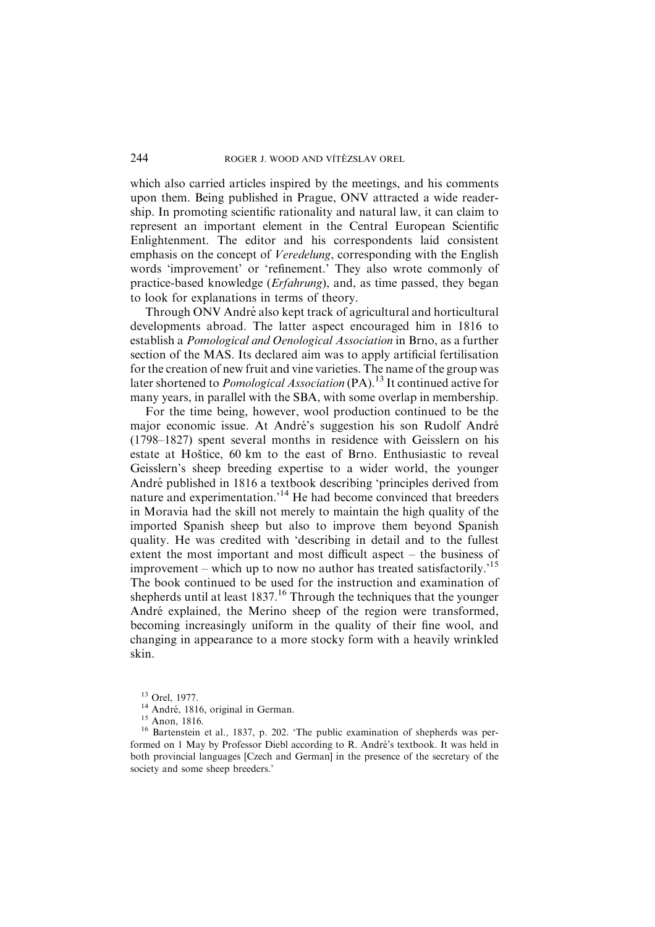which also carried articles inspired by the meetings, and his comments upon them. Being published in Prague, ONV attracted a wide readership. In promoting scientific rationality and natural law, it can claim to represent an important element in the Central European Scientific Enlightenment. The editor and his correspondents laid consistent emphasis on the concept of Veredelung, corresponding with the English words 'improvement' or 'refinement.' They also wrote commonly of practice-based knowledge (Erfahrung), and, as time passed, they began to look for explanations in terms of theory.

Through ONV André also kept track of agricultural and horticultural developments abroad. The latter aspect encouraged him in 1816 to establish a Pomological and Oenological Association in Brno, as a further section of the MAS. Its declared aim was to apply artificial fertilisation for the creation of new fruit and vine varieties. The name of the group was later shortened to *Pomological Association* (PA).<sup>13</sup> It continued active for many years, in parallel with the SBA, with some overlap in membership.

For the time being, however, wool production continued to be the major economic issue. At André's suggestion his son Rudolf André (1798–1827) spent several months in residence with Geisslern on his estate at Hoštice, 60 km to the east of Brno. Enthusiastic to reveal Geisslern's sheep breeding expertise to a wider world, the younger André published in 1816 a textbook describing 'principles derived from nature and experimentation.<sup>14</sup> He had become convinced that breeders in Moravia had the skill not merely to maintain the high quality of the imported Spanish sheep but also to improve them beyond Spanish quality. He was credited with 'describing in detail and to the fullest extent the most important and most difficult aspect – the business of improvement – which up to now no author has treated satisfactorily.'15 The book continued to be used for the instruction and examination of shepherds until at least  $1837<sup>16</sup>$ . Through the techniques that the younger André explained, the Merino sheep of the region were transformed, becoming increasingly uniform in the quality of their fine wool, and changing in appearance to a more stocky form with a heavily wrinkled skin.

<sup>13</sup> Orel, 1977.<br><sup>14</sup> André, 1816, original in German.<br><sup>15</sup> Anon, 1816.<br><sup>16</sup> Bartenstein et al., 1837, p. 202. 'The public examination of shepherds was performed on 1 May by Professor Diebl according to R. André's textbook. It was held in both provincial languages [Czech and German] in the presence of the secretary of the society and some sheep breeders.'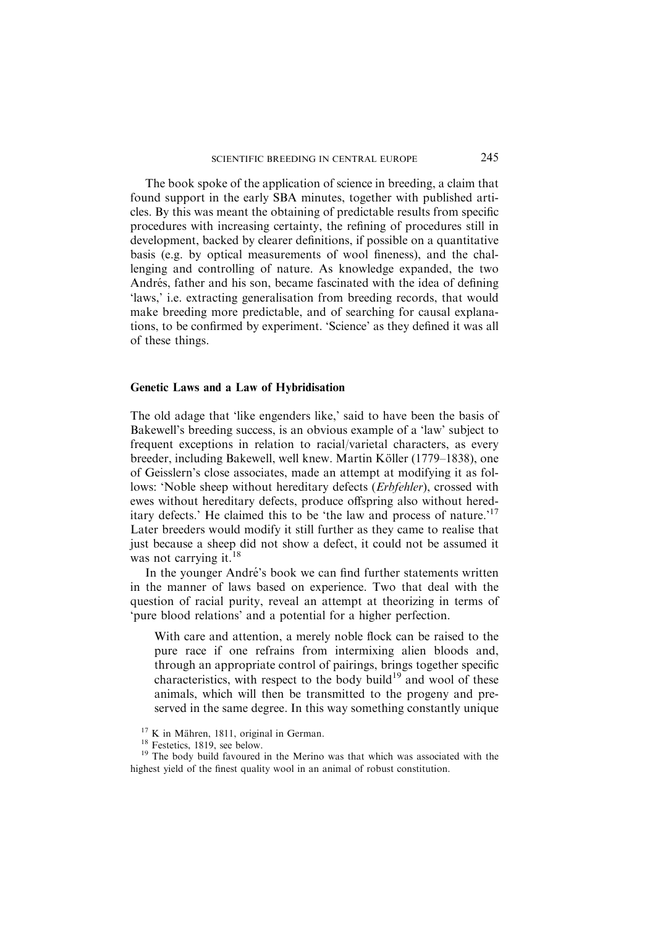The book spoke of the application of science in breeding, a claim that found support in the early SBA minutes, together with published articles. By this was meant the obtaining of predictable results from specific procedures with increasing certainty, the refining of procedures still in development, backed by clearer definitions, if possible on a quantitative basis (e.g. by optical measurements of wool fineness), and the challenging and controlling of nature. As knowledge expanded, the two Andrés, father and his son, became fascinated with the idea of defining 'laws,' i.e. extracting generalisation from breeding records, that would make breeding more predictable, and of searching for causal explanations, to be confirmed by experiment. 'Science' as they defined it was all of these things.

#### Genetic Laws and a Law of Hybridisation

The old adage that 'like engenders like,' said to have been the basis of Bakewell's breeding success, is an obvious example of a 'law' subject to frequent exceptions in relation to racial/varietal characters, as every breeder, including Bakewell, well knew. Martin Köller (1779–1838), one of Geisslern's close associates, made an attempt at modifying it as follows: 'Noble sheep without hereditary defects (Erbfehler), crossed with ewes without hereditary defects, produce offspring also without hereditary defects.' He claimed this to be 'the law and process of nature.'17 Later breeders would modify it still further as they came to realise that just because a sheep did not show a defect, it could not be assumed it was not carrying it. $^{18}$ 

In the younger André's book we can find further statements written in the manner of laws based on experience. Two that deal with the question of racial purity, reveal an attempt at theorizing in terms of 'pure blood relations' and a potential for a higher perfection.

With care and attention, a merely noble flock can be raised to the pure race if one refrains from intermixing alien bloods and, through an appropriate control of pairings, brings together specific characteristics, with respect to the body build<sup>19</sup> and wool of these animals, which will then be transmitted to the progeny and preserved in the same degree. In this way something constantly unique

<sup>&</sup>lt;sup>17</sup> K in Mähren, 1811, original in German.<br><sup>18</sup> Festetics, 1819, see below.<br><sup>19</sup> The body build favoured in the Merino was that which was associated with the highest yield of the finest quality wool in an animal of robust constitution.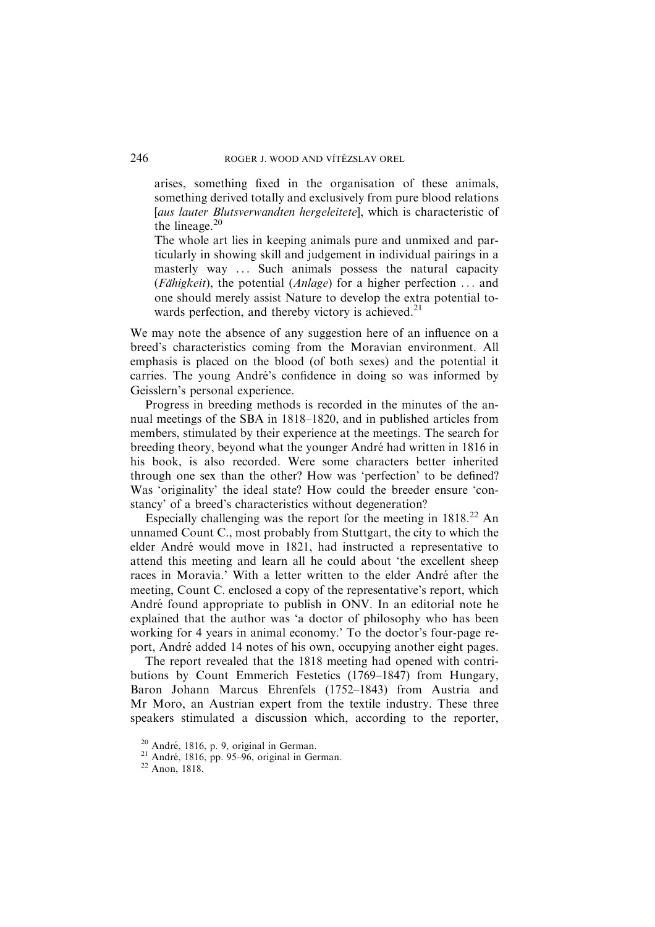arises, something fixed in the organisation of these animals, something derived totally and exclusively from pure blood relations [aus lauter Blutsverwandten hergeleitete], which is characteristic of the lineage. $20$ 

The whole art lies in keeping animals pure and unmixed and particularly in showing skill and judgement in individual pairings in a masterly way ... Such animals possess the natural capacity (Fähigkeit), the potential (Anlage) for a higher perfection  $\dots$  and one should merely assist Nature to develop the extra potential towards perfection, and thereby victory is achieved.<sup>21</sup>

We may note the absence of any suggestion here of an influence on a breed's characteristics coming from the Moravian environment. All emphasis is placed on the blood (of both sexes) and the potential it carries. The young André's confidence in doing so was informed by Geisslern's personal experience.

Progress in breeding methods is recorded in the minutes of the annual meetings of the SBA in 1818–1820, and in published articles from members, stimulated by their experience at the meetings. The search for breeding theory, beyond what the younger André had written in 1816 in his book, is also recorded. Were some characters better inherited through one sex than the other? How was 'perfection' to be defined? Was 'originality' the ideal state? How could the breeder ensure 'constancy' of a breed's characteristics without degeneration?

Especially challenging was the report for the meeting in  $1818<sup>22</sup>$  An unnamed Count C., most probably from Stuttgart, the city to which the elder André would move in 1821, had instructed a representative to attend this meeting and learn all he could about 'the excellent sheep races in Moravia.' With a letter written to the elder André after the meeting, Count C. enclosed a copy of the representative's report, which André found appropriate to publish in ONV. In an editorial note he explained that the author was 'a doctor of philosophy who has been working for 4 years in animal economy.' To the doctor's four-page report, André added 14 notes of his own, occupying another eight pages.

The report revealed that the 1818 meeting had opened with contributions by Count Emmerich Festetics (1769–1847) from Hungary, Baron Johann Marcus Ehrenfels (1752–1843) from Austria and Mr Moro, an Austrian expert from the textile industry. These three speakers stimulated a discussion which, according to the reporter,

<sup>&</sup>lt;sup>20</sup> André, 1816, p. 9, original in German.<br><sup>21</sup> André, 1816, pp. 95–96, original in German.<br><sup>22</sup> Anon, 1818.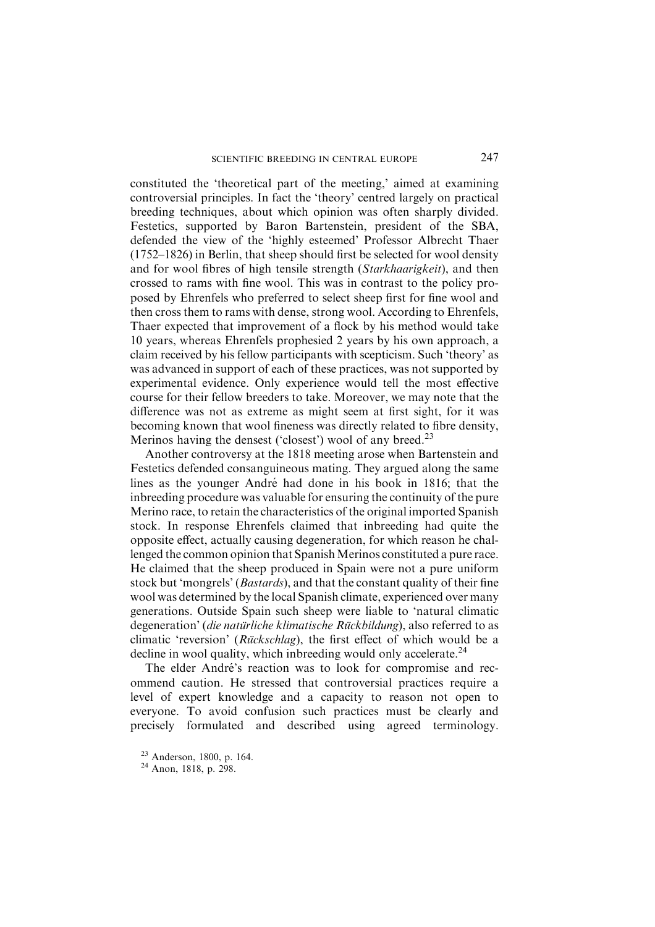constituted the 'theoretical part of the meeting,' aimed at examining controversial principles. In fact the 'theory' centred largely on practical breeding techniques, about which opinion was often sharply divided. Festetics, supported by Baron Bartenstein, president of the SBA, defended the view of the 'highly esteemed' Professor Albrecht Thaer (1752–1826) in Berlin, that sheep should first be selected for wool density and for wool fibres of high tensile strength (Starkhaarigkeit), and then crossed to rams with fine wool. This was in contrast to the policy proposed by Ehrenfels who preferred to select sheep first for fine wool and then cross them to rams with dense, strong wool. According to Ehrenfels, Thaer expected that improvement of a flock by his method would take 10 years, whereas Ehrenfels prophesied 2 years by his own approach, a claim received by his fellow participants with scepticism. Such 'theory' as was advanced in support of each of these practices, was not supported by experimental evidence. Only experience would tell the most effective course for their fellow breeders to take. Moreover, we may note that the difference was not as extreme as might seem at first sight, for it was becoming known that wool fineness was directly related to fibre density, Merinos having the densest ('closest') wool of any breed.<sup>23</sup>

Another controversy at the 1818 meeting arose when Bartenstein and Festetics defended consanguineous mating. They argued along the same lines as the younger André had done in his book in 1816; that the inbreeding procedure was valuable for ensuring the continuity of the pure Merino race, to retain the characteristics of the original imported Spanish stock. In response Ehrenfels claimed that inbreeding had quite the opposite effect, actually causing degeneration, for which reason he challenged the common opinion that Spanish Merinos constituted a pure race. He claimed that the sheep produced in Spain were not a pure uniform stock but 'mongrels' (Bastards), and that the constant quality of their fine wool was determined by the local Spanish climate, experienced over many generations. Outside Spain such sheep were liable to 'natural climatic degeneration' (die natürliche klimatische Rückbildung), also referred to as climatic 'reversion' (*Rückschlag*), the first effect of which would be a decline in wool quality, which inbreeding would only accelerate.<sup>24</sup>

The elder André's reaction was to look for compromise and recommend caution. He stressed that controversial practices require a level of expert knowledge and a capacity to reason not open to everyone. To avoid confusion such practices must be clearly and precisely formulated and described using agreed terminology.

 $^{23}$  Anderson, 1800, p. 164.<br><sup>24</sup> Anon, 1818, p. 298.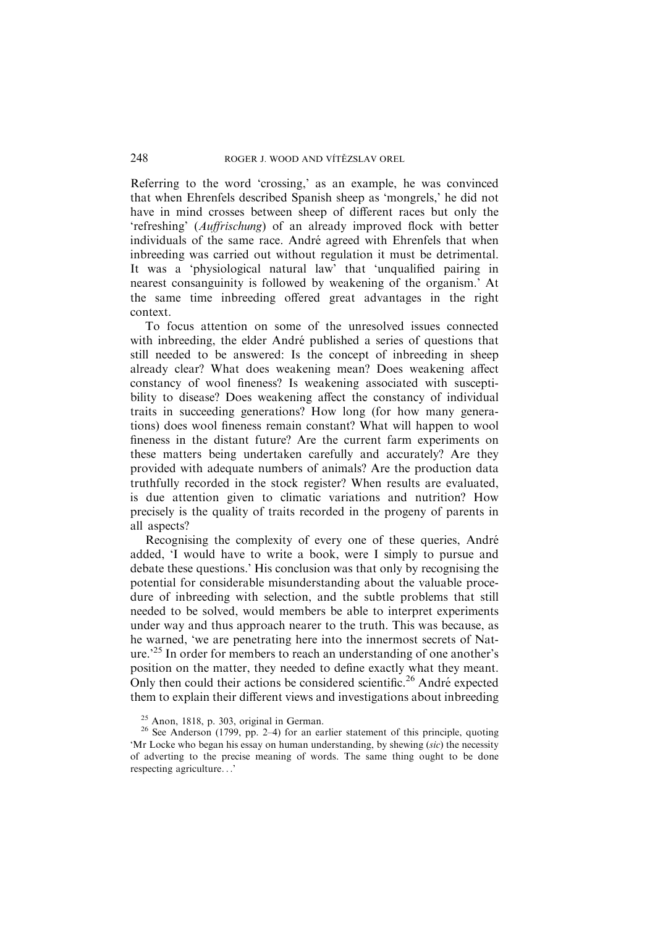Referring to the word 'crossing,' as an example, he was convinced that when Ehrenfels described Spanish sheep as 'mongrels,' he did not have in mind crosses between sheep of different races but only the 'refreshing' (Auffrischung) of an already improved flock with better individuals of the same race. André agreed with Ehrenfels that when inbreeding was carried out without regulation it must be detrimental. It was a 'physiological natural law' that 'unqualified pairing in nearest consanguinity is followed by weakening of the organism.' At the same time inbreeding offered great advantages in the right context.

To focus attention on some of the unresolved issues connected with inbreeding, the elder André published a series of questions that still needed to be answered: Is the concept of inbreeding in sheep already clear? What does weakening mean? Does weakening affect constancy of wool fineness? Is weakening associated with susceptibility to disease? Does weakening affect the constancy of individual traits in succeeding generations? How long (for how many generations) does wool fineness remain constant? What will happen to wool fineness in the distant future? Are the current farm experiments on these matters being undertaken carefully and accurately? Are they provided with adequate numbers of animals? Are the production data truthfully recorded in the stock register? When results are evaluated, is due attention given to climatic variations and nutrition? How precisely is the quality of traits recorded in the progeny of parents in all aspects?

Recognising the complexity of every one of these queries, André added, 'I would have to write a book, were I simply to pursue and debate these questions.' His conclusion was that only by recognising the potential for considerable misunderstanding about the valuable procedure of inbreeding with selection, and the subtle problems that still needed to be solved, would members be able to interpret experiments under way and thus approach nearer to the truth. This was because, as he warned, 'we are penetrating here into the innermost secrets of Nature.<sup>25</sup> In order for members to reach an understanding of one another's position on the matter, they needed to define exactly what they meant. Only then could their actions be considered scientific.<sup>26</sup> André expected them to explain their different views and investigations about inbreeding

<sup>&</sup>lt;sup>25</sup> Anon, 1818, p. 303, original in German.<br><sup>26</sup> See Anderson (1799, pp. 2–4) for an earlier statement of this principle, quoting 'Mr Locke who began his essay on human understanding, by shewing (sic) the necessity of adverting to the precise meaning of words. The same thing ought to be done respecting agriculture...'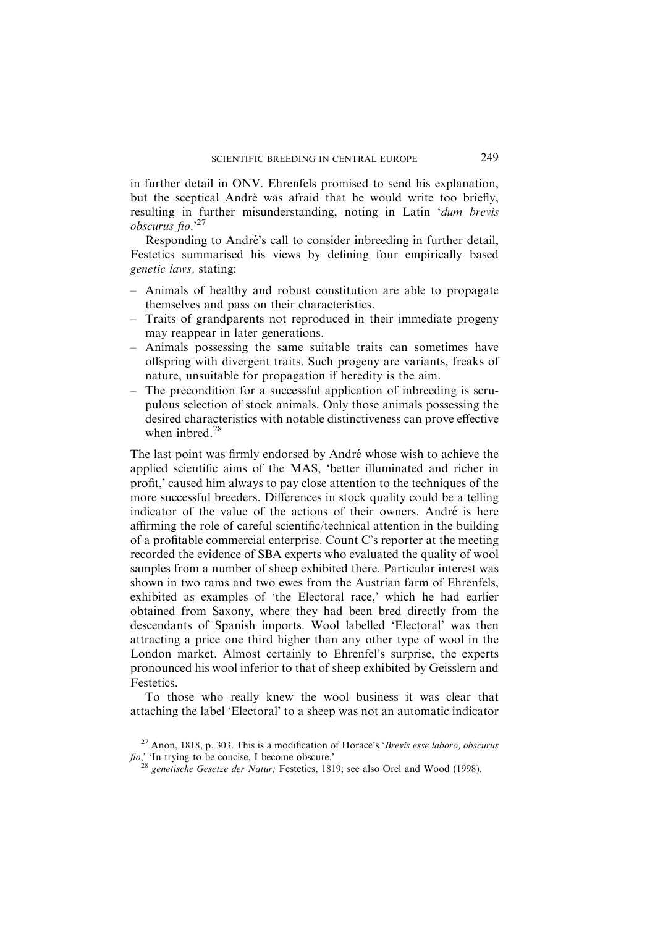in further detail in ONV. Ehrenfels promised to send his explanation, but the sceptical André was afraid that he would write too briefly, resulting in further misunderstanding, noting in Latin 'dum brevis obscurus fio. $^{27}$ 

Responding to André's call to consider inbreeding in further detail. Festetics summarised his views by defining four empirically based genetic laws, stating:

- Animals of healthy and robust constitution are able to propagate themselves and pass on their characteristics.
- Traits of grandparents not reproduced in their immediate progeny may reappear in later generations.
- Animals possessing the same suitable traits can sometimes have offspring with divergent traits. Such progeny are variants, freaks of nature, unsuitable for propagation if heredity is the aim.
- The precondition for a successful application of inbreeding is scrupulous selection of stock animals. Only those animals possessing the desired characteristics with notable distinctiveness can prove effective when inbred.<sup>28</sup>

The last point was firmly endorsed by André whose wish to achieve the applied scientific aims of the MAS, 'better illuminated and richer in profit,' caused him always to pay close attention to the techniques of the more successful breeders. Differences in stock quality could be a telling indicator of the value of the actions of their owners. André is here affirming the role of careful scientific/technical attention in the building of a profitable commercial enterprise. Count C's reporter at the meeting recorded the evidence of SBA experts who evaluated the quality of wool samples from a number of sheep exhibited there. Particular interest was shown in two rams and two ewes from the Austrian farm of Ehrenfels, exhibited as examples of 'the Electoral race,' which he had earlier obtained from Saxony, where they had been bred directly from the descendants of Spanish imports. Wool labelled 'Electoral' was then attracting a price one third higher than any other type of wool in the London market. Almost certainly to Ehrenfel's surprise, the experts pronounced his wool inferior to that of sheep exhibited by Geisslern and **Festetics** 

To those who really knew the wool business it was clear that attaching the label 'Electoral' to a sheep was not an automatic indicator

 $^{27}$  Anon, 1818, p. 303. This is a modification of Horace's '*Brevis esse laboro, obscurus* fio,' 'In trying to be concise, I become obscure.'

 $28$  genetische Gesetze der Natur; Festetics, 1819; see also Orel and Wood (1998).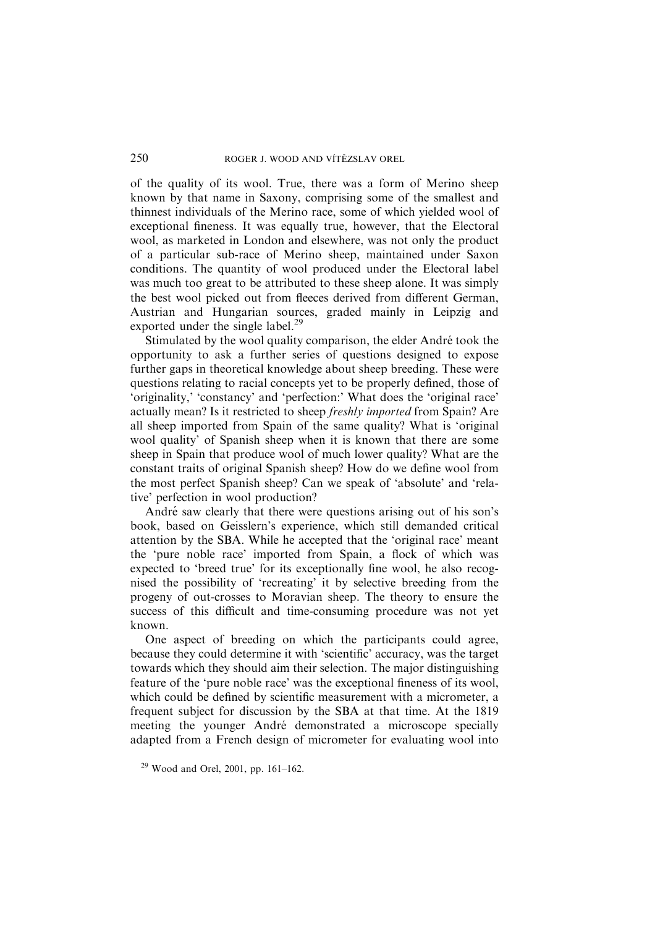of the quality of its wool. True, there was a form of Merino sheep known by that name in Saxony, comprising some of the smallest and thinnest individuals of the Merino race, some of which yielded wool of exceptional fineness. It was equally true, however, that the Electoral wool, as marketed in London and elsewhere, was not only the product of a particular sub-race of Merino sheep, maintained under Saxon conditions. The quantity of wool produced under the Electoral label was much too great to be attributed to these sheep alone. It was simply the best wool picked out from fleeces derived from different German, Austrian and Hungarian sources, graded mainly in Leipzig and exported under the single label.<sup>29</sup>

Stimulated by the wool quality comparison, the elder André took the opportunity to ask a further series of questions designed to expose further gaps in theoretical knowledge about sheep breeding. These were questions relating to racial concepts yet to be properly defined, those of 'originality,' 'constancy' and 'perfection:' What does the 'original race' actually mean? Is it restricted to sheep freshly imported from Spain? Are all sheep imported from Spain of the same quality? What is 'original wool quality' of Spanish sheep when it is known that there are some sheep in Spain that produce wool of much lower quality? What are the constant traits of original Spanish sheep? How do we define wool from the most perfect Spanish sheep? Can we speak of 'absolute' and 'relative' perfection in wool production?

André saw clearly that there were questions arising out of his son's book, based on Geisslern's experience, which still demanded critical attention by the SBA. While he accepted that the 'original race' meant the 'pure noble race' imported from Spain, a flock of which was expected to 'breed true' for its exceptionally fine wool, he also recognised the possibility of 'recreating' it by selective breeding from the progeny of out-crosses to Moravian sheep. The theory to ensure the success of this difficult and time-consuming procedure was not yet known.

One aspect of breeding on which the participants could agree, because they could determine it with 'scientific' accuracy, was the target towards which they should aim their selection. The major distinguishing feature of the 'pure noble race' was the exceptional fineness of its wool, which could be defined by scientific measurement with a micrometer, a frequent subject for discussion by the SBA at that time. At the 1819 meeting the younger André demonstrated a microscope specially adapted from a French design of micrometer for evaluating wool into

 $29$  Wood and Orel, 2001, pp. 161–162.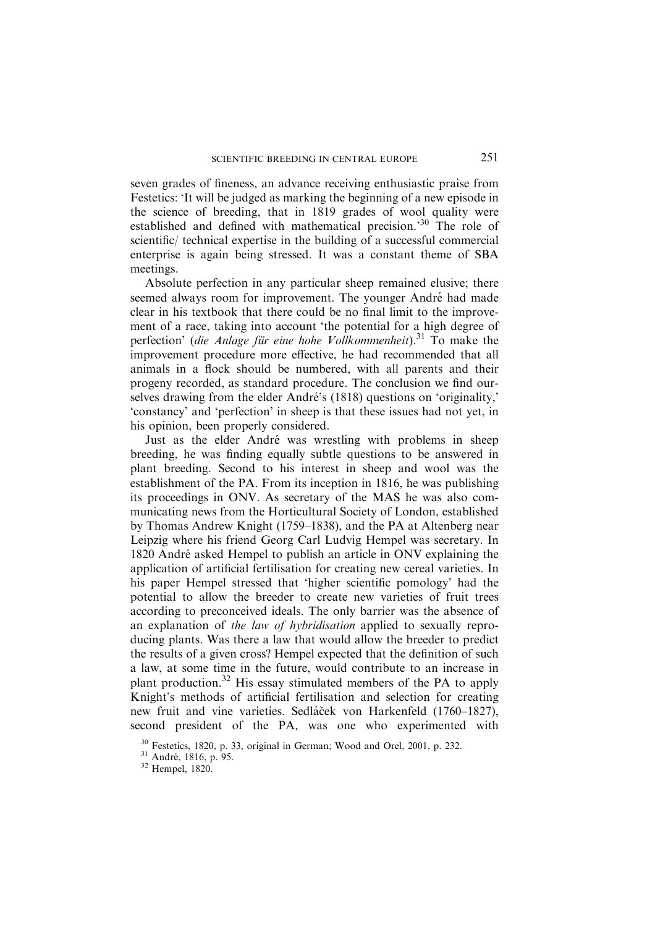seven grades of fineness, an advance receiving enthusiastic praise from Festetics: 'It will be judged as marking the beginning of a new episode in the science of breeding, that in 1819 grades of wool quality were established and defined with mathematical precision.<sup>30</sup> The role of scientific/ technical expertise in the building of a successful commercial enterprise is again being stressed. It was a constant theme of SBA meetings.

Absolute perfection in any particular sheep remained elusive; there seemed always room for improvement. The younger André had made clear in his textbook that there could be no final limit to the improvement of a race, taking into account 'the potential for a high degree of perfection' (die Anlage für eine hohe Vollkommenheit).<sup>31</sup> To make the improvement procedure more effective, he had recommended that all animals in a flock should be numbered, with all parents and their progeny recorded, as standard procedure. The conclusion we find ourselves drawing from the elder André's (1818) questions on 'originality,' 'constancy' and 'perfection' in sheep is that these issues had not yet, in his opinion, been properly considered.

Just as the elder André was wrestling with problems in sheep breeding, he was finding equally subtle questions to be answered in plant breeding. Second to his interest in sheep and wool was the establishment of the PA. From its inception in 1816, he was publishing its proceedings in ONV. As secretary of the MAS he was also communicating news from the Horticultural Society of London, established by Thomas Andrew Knight (1759–1838), and the PA at Altenberg near Leipzig where his friend Georg Carl Ludvig Hempel was secretary. In 1820 André asked Hempel to publish an article in ONV explaining the application of artificial fertilisation for creating new cereal varieties. In his paper Hempel stressed that 'higher scientific pomology' had the potential to allow the breeder to create new varieties of fruit trees according to preconceived ideals. The only barrier was the absence of an explanation of the law of hybridisation applied to sexually reproducing plants. Was there a law that would allow the breeder to predict the results of a given cross? Hempel expected that the definition of such a law, at some time in the future, would contribute to an increase in plant production.32 His essay stimulated members of the PA to apply Knight's methods of artificial fertilisation and selection for creating new fruit and vine varieties. Sedláček von Harkenfeld (1760–1827), second president of the PA, was one who experimented with

<sup>&</sup>lt;sup>30</sup> Festetics, 1820, p. 33, original in German; Wood and Orel, 2001, p. 232.<br><sup>31</sup> André, 1816, p. 95. <sup>32</sup> Hempel, 1820.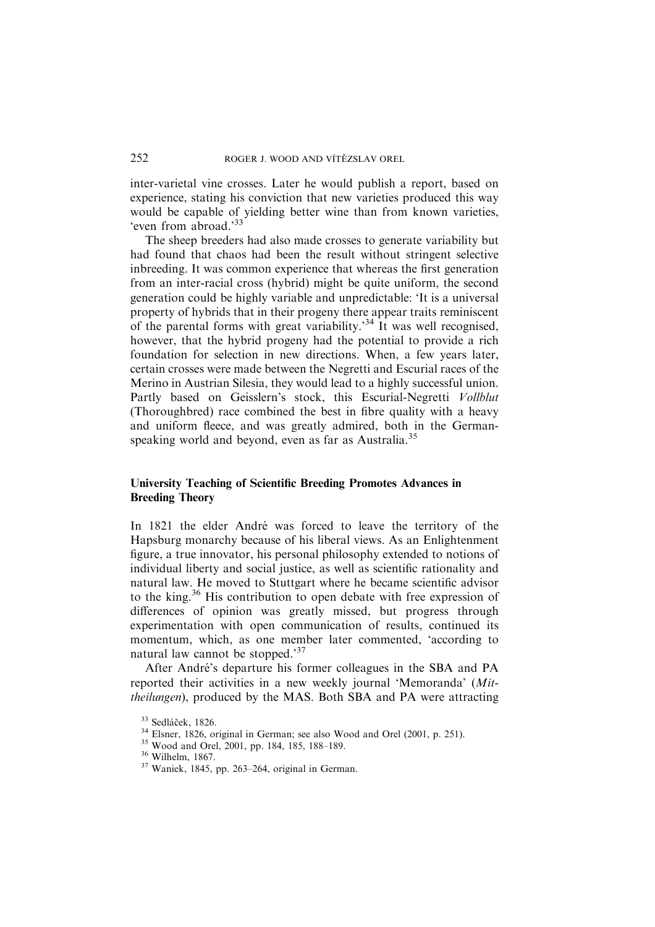inter-varietal vine crosses. Later he would publish a report, based on experience, stating his conviction that new varieties produced this way would be capable of yielding better wine than from known varieties, 'even from abroad.'33

The sheep breeders had also made crosses to generate variability but had found that chaos had been the result without stringent selective inbreeding. It was common experience that whereas the first generation from an inter-racial cross (hybrid) might be quite uniform, the second generation could be highly variable and unpredictable: 'It is a universal property of hybrids that in their progeny there appear traits reminiscent of the parental forms with great variability.<sup>34</sup> It was well recognised, however, that the hybrid progeny had the potential to provide a rich foundation for selection in new directions. When, a few years later, certain crosses were made between the Negretti and Escurial races of the Merino in Austrian Silesia, they would lead to a highly successful union. Partly based on Geisslern's stock, this Escurial-Negretti Vollblut (Thoroughbred) race combined the best in fibre quality with a heavy and uniform fleece, and was greatly admired, both in the Germanspeaking world and beyond, even as far as Australia.<sup>35</sup>

# University Teaching of Scientific Breeding Promotes Advances in Breeding Theory

In 1821 the elder André was forced to leave the territory of the Hapsburg monarchy because of his liberal views. As an Enlightenment figure, a true innovator, his personal philosophy extended to notions of individual liberty and social justice, as well as scientific rationality and natural law. He moved to Stuttgart where he became scientific advisor to the king.<sup>36</sup> His contribution to open debate with free expression of differences of opinion was greatly missed, but progress through experimentation with open communication of results, continued its momentum, which, as one member later commented, 'according to natural law cannot be stopped.<sup>37</sup>

After André's departure his former colleagues in the SBA and PA reported their activities in a new weekly journal 'Memoranda' (Mittheilungen), produced by the MAS. Both SBA and PA were attracting

<sup>&</sup>lt;sup>33</sup> Sedláček, 1826. <sup>34</sup> Elsner, 1826, original in German; see also Wood and Orel (2001, p. 251). <sup>35</sup> Wood and Orel, 2001, pp. 184, 185, 188–189. <sup>36</sup> Wilhelm, 1867. <sup>37</sup> Waniek, 1845, pp. 263–264, original in German.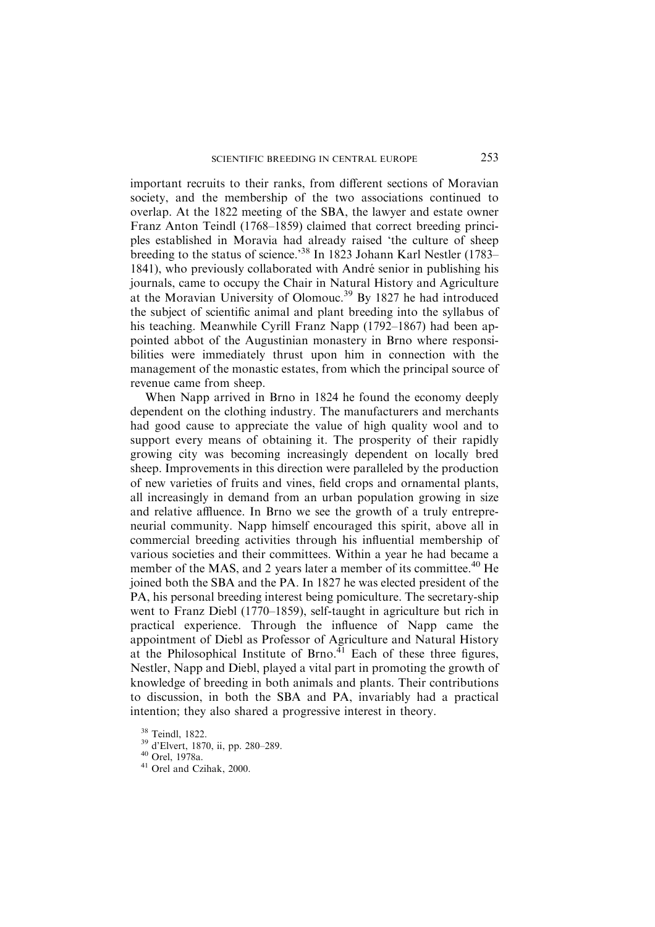important recruits to their ranks, from different sections of Moravian society, and the membership of the two associations continued to overlap. At the 1822 meeting of the SBA, the lawyer and estate owner Franz Anton Teindl (1768–1859) claimed that correct breeding principles established in Moravia had already raised 'the culture of sheep breeding to the status of science.'<sup>38</sup> In 1823 Johann Karl Nestler (1783– 1841), who previously collaborated with André senior in publishing his journals, came to occupy the Chair in Natural History and Agriculture at the Moravian University of Olomouc.<sup>39</sup> By 1827 he had introduced the subject of scientific animal and plant breeding into the syllabus of his teaching. Meanwhile Cyrill Franz Napp (1792–1867) had been appointed abbot of the Augustinian monastery in Brno where responsibilities were immediately thrust upon him in connection with the management of the monastic estates, from which the principal source of revenue came from sheep.

When Napp arrived in Brno in 1824 he found the economy deeply dependent on the clothing industry. The manufacturers and merchants had good cause to appreciate the value of high quality wool and to support every means of obtaining it. The prosperity of their rapidly growing city was becoming increasingly dependent on locally bred sheep. Improvements in this direction were paralleled by the production of new varieties of fruits and vines, field crops and ornamental plants, all increasingly in demand from an urban population growing in size and relative affluence. In Brno we see the growth of a truly entrepreneurial community. Napp himself encouraged this spirit, above all in commercial breeding activities through his influential membership of various societies and their committees. Within a year he had became a member of the MAS, and 2 years later a member of its committee.<sup>40</sup> He joined both the SBA and the PA. In 1827 he was elected president of the PA, his personal breeding interest being pomiculture. The secretary-ship went to Franz Diebl (1770–1859), self-taught in agriculture but rich in practical experience. Through the influence of Napp came the appointment of Diebl as Professor of Agriculture and Natural History at the Philosophical Institute of Brno. $^{41}$  Each of these three figures, Nestler, Napp and Diebl, played a vital part in promoting the growth of knowledge of breeding in both animals and plants. Their contributions to discussion, in both the SBA and PA, invariably had a practical intention; they also shared a progressive interest in theory.

<sup>38</sup> Teindl, 1822.<br><sup>39</sup> d'Elvert, 1870, ii, pp. 280–289.<br><sup>40</sup> Orel, 1978a.<br><sup>41</sup> Orel and Czihak, 2000.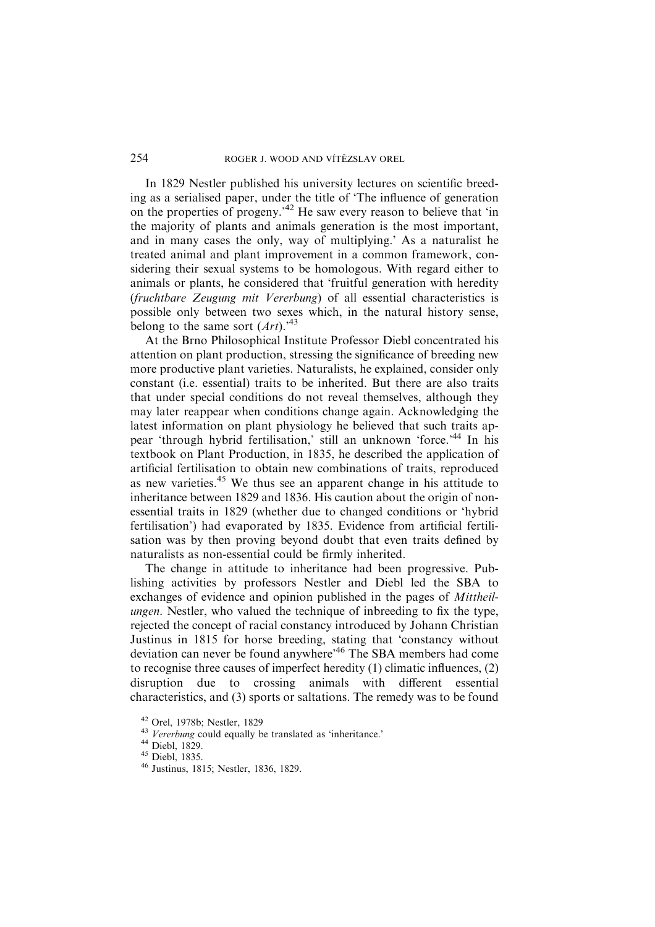In 1829 Nestler published his university lectures on scientific breeding as a serialised paper, under the title of 'The influence of generation on the properties of progeny.'42 He saw every reason to believe that 'in the majority of plants and animals generation is the most important, and in many cases the only, way of multiplying.' As a naturalist he treated animal and plant improvement in a common framework, considering their sexual systems to be homologous. With regard either to animals or plants, he considered that 'fruitful generation with heredity (fruchtbare Zeugung mit Vererbung) of all essential characteristics is possible only between two sexes which, in the natural history sense, belong to the same sort  $(Art)$ .<sup>43</sup>

At the Brno Philosophical Institute Professor Diebl concentrated his attention on plant production, stressing the significance of breeding new more productive plant varieties. Naturalists, he explained, consider only constant (i.e. essential) traits to be inherited. But there are also traits that under special conditions do not reveal themselves, although they may later reappear when conditions change again. Acknowledging the latest information on plant physiology he believed that such traits appear 'through hybrid fertilisation,' still an unknown 'force.'44 In his textbook on Plant Production, in 1835, he described the application of artificial fertilisation to obtain new combinations of traits, reproduced as new varieties.<sup>45</sup> We thus see an apparent change in his attitude to inheritance between 1829 and 1836. His caution about the origin of nonessential traits in 1829 (whether due to changed conditions or 'hybrid fertilisation') had evaporated by 1835. Evidence from artificial fertilisation was by then proving beyond doubt that even traits defined by naturalists as non-essential could be firmly inherited.

The change in attitude to inheritance had been progressive. Publishing activities by professors Nestler and Diebl led the SBA to exchanges of evidence and opinion published in the pages of Mittheilungen. Nestler, who valued the technique of inbreeding to fix the type, rejected the concept of racial constancy introduced by Johann Christian Justinus in 1815 for horse breeding, stating that 'constancy without deviation can never be found anywhere'46 The SBA members had come to recognise three causes of imperfect heredity (1) climatic influences, (2) disruption due to crossing animals with different essential characteristics, and (3) sports or saltations. The remedy was to be found

<sup>&</sup>lt;sup>42</sup> Orel, 1978b; Nestler, 1829<br>
<sup>43</sup> *Vererbung* could equally be translated as 'inheritance.'<br>
<sup>44</sup> Diebl, 1829.<br>
<sup>45</sup> Diebl, 1835.<br>
<sup>46</sup> Justinus, 1815; Nestler, 1836, 1829.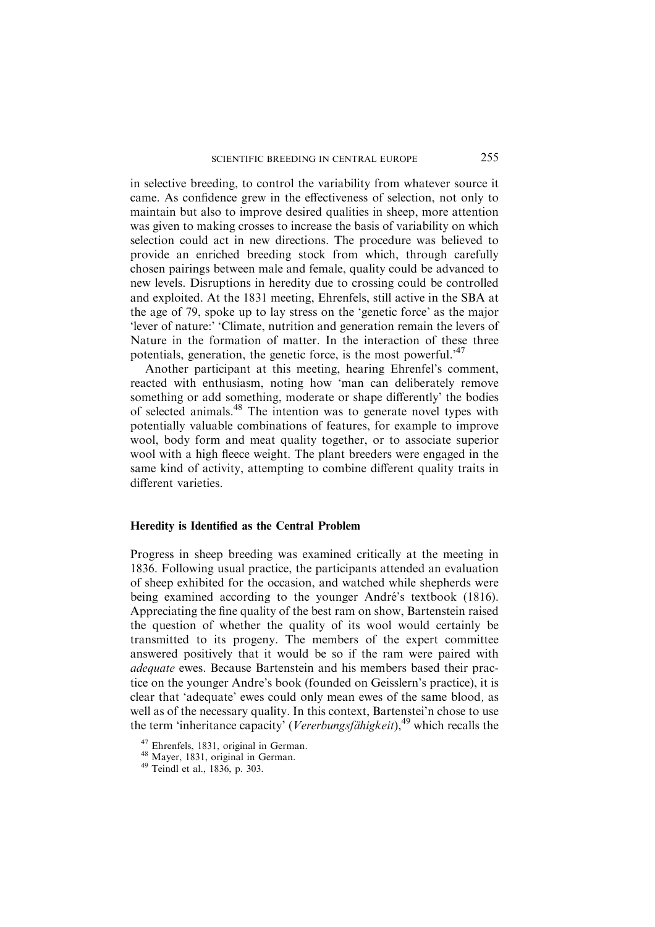in selective breeding, to control the variability from whatever source it came. As confidence grew in the effectiveness of selection, not only to maintain but also to improve desired qualities in sheep, more attention was given to making crosses to increase the basis of variability on which selection could act in new directions. The procedure was believed to provide an enriched breeding stock from which, through carefully chosen pairings between male and female, quality could be advanced to new levels. Disruptions in heredity due to crossing could be controlled and exploited. At the 1831 meeting, Ehrenfels, still active in the SBA at the age of 79, spoke up to lay stress on the 'genetic force' as the major 'lever of nature:' 'Climate, nutrition and generation remain the levers of Nature in the formation of matter. In the interaction of these three potentials, generation, the genetic force, is the most powerful.'<sup>47</sup>

Another participant at this meeting, hearing Ehrenfel's comment, reacted with enthusiasm, noting how 'man can deliberately remove something or add something, moderate or shape differently' the bodies of selected animals.48 The intention was to generate novel types with potentially valuable combinations of features, for example to improve wool, body form and meat quality together, or to associate superior wool with a high fleece weight. The plant breeders were engaged in the same kind of activity, attempting to combine different quality traits in different varieties.

# Heredity is Identified as the Central Problem

Progress in sheep breeding was examined critically at the meeting in 1836. Following usual practice, the participants attended an evaluation of sheep exhibited for the occasion, and watched while shepherds were being examined according to the younger André's textbook (1816). Appreciating the fine quality of the best ram on show, Bartenstein raised the question of whether the quality of its wool would certainly be transmitted to its progeny. The members of the expert committee answered positively that it would be so if the ram were paired with adequate ewes. Because Bartenstein and his members based their practice on the younger Andre's book (founded on Geisslern's practice), it is clear that 'adequate' ewes could only mean ewes of the same blood, as well as of the necessary quality. In this context, Bartenstei'n chose to use the term 'inheritance capacity' (Vererbungsfähigkeit), $49$  which recalls the

<sup>&</sup>lt;sup>47</sup> Ehrenfels, 1831, original in German.<br><sup>48</sup> Mayer, 1831, original in German.<br><sup>49</sup> Teindl et al., 1836, p. 303.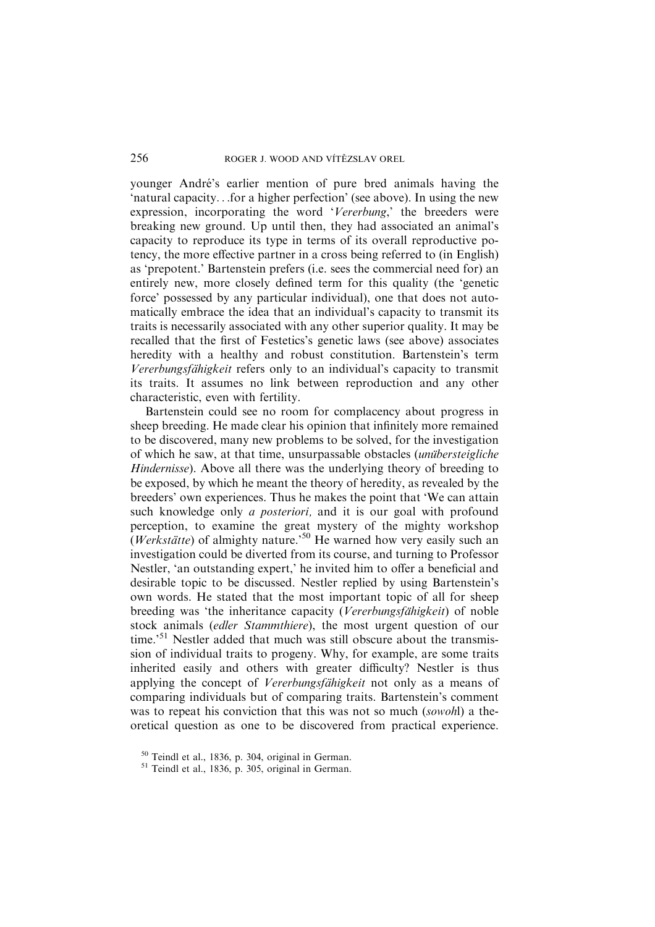younger André's earlier mention of pure bred animals having the 'natural capacity...for a higher perfection' (see above). In using the new expression, incorporating the word 'Vererbung,' the breeders were breaking new ground. Up until then, they had associated an animal's capacity to reproduce its type in terms of its overall reproductive potency, the more effective partner in a cross being referred to (in English) as 'prepotent.' Bartenstein prefers (i.e. sees the commercial need for) an entirely new, more closely defined term for this quality (the 'genetic force' possessed by any particular individual), one that does not automatically embrace the idea that an individual's capacity to transmit its traits is necessarily associated with any other superior quality. It may be recalled that the first of Festetics's genetic laws (see above) associates heredity with a healthy and robust constitution. Bartenstein's term Vererbungsfähigkeit refers only to an individual's capacity to transmit its traits. It assumes no link between reproduction and any other characteristic, even with fertility.

Bartenstein could see no room for complacency about progress in sheep breeding. He made clear his opinion that infinitely more remained to be discovered, many new problems to be solved, for the investigation of which he saw, at that time, unsurpassable obstacles *(unübersteigliche*) Hindernisse). Above all there was the underlying theory of breeding to be exposed, by which he meant the theory of heredity, as revealed by the breeders' own experiences. Thus he makes the point that 'We can attain such knowledge only *a posteriori*, and it is our goal with profound perception, to examine the great mystery of the mighty workshop (Werkstätte) of almighty nature.<sup>50</sup> He warned how very easily such an investigation could be diverted from its course, and turning to Professor Nestler, 'an outstanding expert,' he invited him to offer a beneficial and desirable topic to be discussed. Nestler replied by using Bartenstein's own words. He stated that the most important topic of all for sheep breeding was 'the inheritance capacity (Vererbungsfähigkeit) of noble stock animals (edler Stammthiere), the most urgent question of our time.<sup>51</sup> Nestler added that much was still obscure about the transmission of individual traits to progeny. Why, for example, are some traits inherited easily and others with greater difficulty? Nestler is thus applying the concept of *Vererbungsfähigkeit* not only as a means of comparing individuals but of comparing traits. Bartenstein's comment was to repeat his conviction that this was not so much *(sowohl)* a theoretical question as one to be discovered from practical experience.

 $^{50}$  Teindl et al., 1836, p. 304, original in German.<br> $^{51}$  Teindl et al., 1836, p. 305, original in German.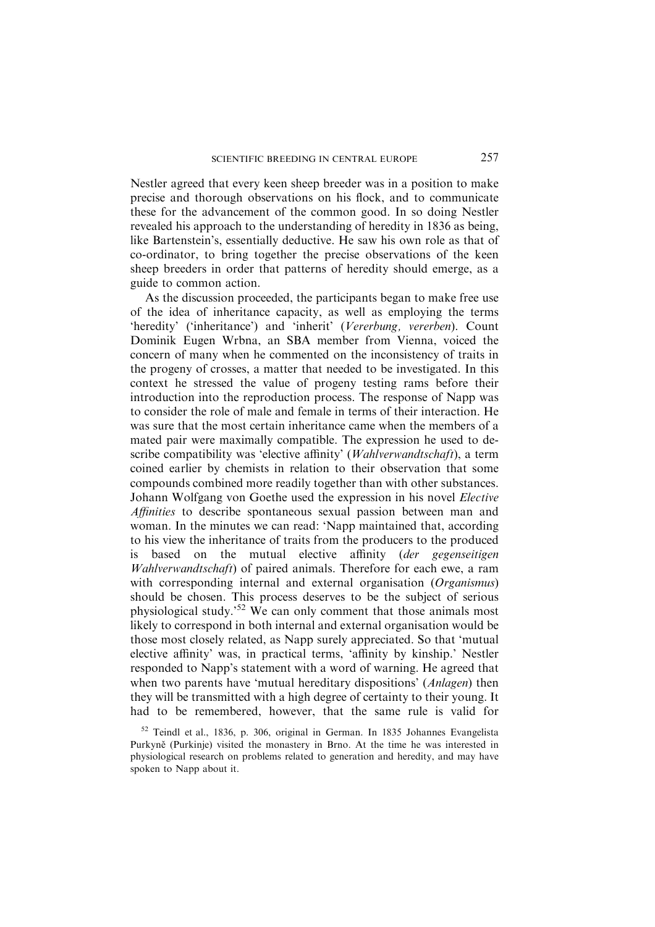Nestler agreed that every keen sheep breeder was in a position to make precise and thorough observations on his flock, and to communicate these for the advancement of the common good. In so doing Nestler revealed his approach to the understanding of heredity in 1836 as being, like Bartenstein's, essentially deductive. He saw his own role as that of co-ordinator, to bring together the precise observations of the keen sheep breeders in order that patterns of heredity should emerge, as a guide to common action.

As the discussion proceeded, the participants began to make free use of the idea of inheritance capacity, as well as employing the terms 'heredity' ('inheritance') and 'inherit' (Vererbung, vererben). Count Dominik Eugen Wrbna, an SBA member from Vienna, voiced the concern of many when he commented on the inconsistency of traits in the progeny of crosses, a matter that needed to be investigated. In this context he stressed the value of progeny testing rams before their introduction into the reproduction process. The response of Napp was to consider the role of male and female in terms of their interaction. He was sure that the most certain inheritance came when the members of a mated pair were maximally compatible. The expression he used to describe compatibility was 'elective affinity' (Wahlverwandtschaft), a term coined earlier by chemists in relation to their observation that some compounds combined more readily together than with other substances. Johann Wolfgang von Goethe used the expression in his novel Elective Affinities to describe spontaneous sexual passion between man and woman. In the minutes we can read: 'Napp maintained that, according to his view the inheritance of traits from the producers to the produced is based on the mutual elective affinity (der gegenseitigen Wahlverwandtschaft) of paired animals. Therefore for each ewe, a ram with corresponding internal and external organisation (Organismus) should be chosen. This process deserves to be the subject of serious physiological study.'52 We can only comment that those animals most likely to correspond in both internal and external organisation would be those most closely related, as Napp surely appreciated. So that 'mutual elective affinity' was, in practical terms, 'affinity by kinship.' Nestler responded to Napp's statement with a word of warning. He agreed that when two parents have 'mutual hereditary dispositions' *(Anlagen)* then they will be transmitted with a high degree of certainty to their young. It had to be remembered, however, that the same rule is valid for

<sup>52</sup> Teindl et al., 1836, p. 306, original in German. In 1835 Johannes Evangelista Purkyně (Purkinje) visited the monastery in Brno. At the time he was interested in physiological research on problems related to generation and heredity, and may have spoken to Napp about it.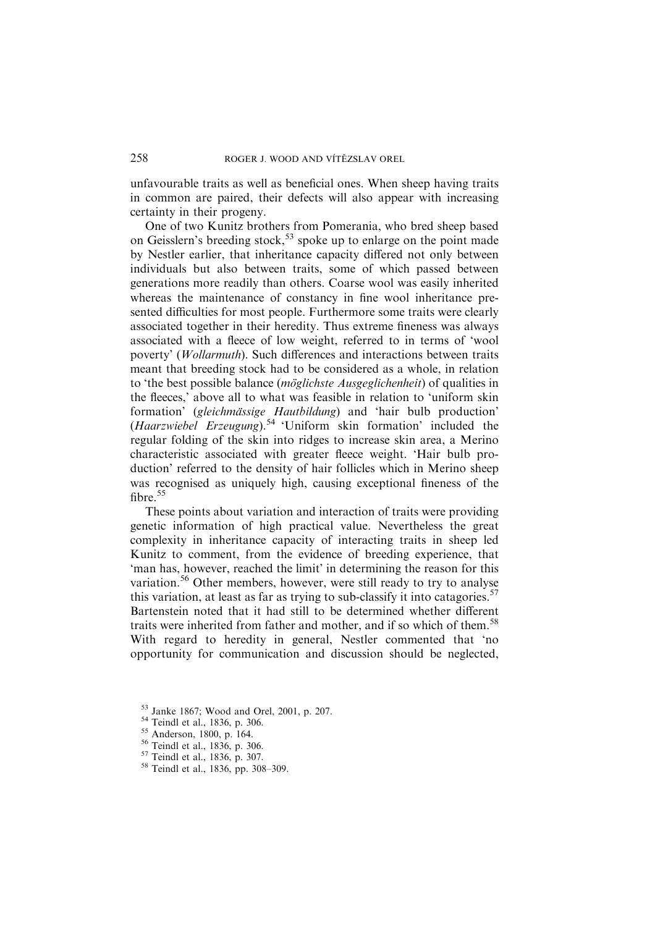unfavourable traits as well as beneficial ones. When sheep having traits in common are paired, their defects will also appear with increasing certainty in their progeny.

One of two Kunitz brothers from Pomerania, who bred sheep based on Geisslern's breeding stock,  $53$  spoke up to enlarge on the point made by Nestler earlier, that inheritance capacity differed not only between individuals but also between traits, some of which passed between generations more readily than others. Coarse wool was easily inherited whereas the maintenance of constancy in fine wool inheritance presented difficulties for most people. Furthermore some traits were clearly associated together in their heredity. Thus extreme fineness was always associated with a fleece of low weight, referred to in terms of 'wool poverty' (Wollarmuth). Such differences and interactions between traits meant that breeding stock had to be considered as a whole, in relation to 'the best possible balance (*möglichste Ausgeglichenheit*) of qualities in the fleeces,' above all to what was feasible in relation to 'uniform skin formation' (gleichmässige Hautbildung) and 'hair bulb production' (Haarzwiebel Erzeugung).54 'Uniform skin formation' included the regular folding of the skin into ridges to increase skin area, a Merino characteristic associated with greater fleece weight. 'Hair bulb production' referred to the density of hair follicles which in Merino sheep was recognised as uniquely high, causing exceptional fineness of the fibre. $55$ 

These points about variation and interaction of traits were providing genetic information of high practical value. Nevertheless the great complexity in inheritance capacity of interacting traits in sheep led Kunitz to comment, from the evidence of breeding experience, that 'man has, however, reached the limit' in determining the reason for this variation.<sup>56</sup> Other members, however, were still ready to try to analyse this variation, at least as far as trying to sub-classify it into catagories.<sup>57</sup> Bartenstein noted that it had still to be determined whether different traits were inherited from father and mother, and if so which of them.<sup>58</sup> With regard to heredity in general, Nestler commented that 'no opportunity for communication and discussion should be neglected,

<sup>&</sup>lt;sup>53</sup> Janke 1867; Wood and Orel, 2001, p. 207.<br><sup>54</sup> Teindl et al., 1836, p. 306.<br><sup>55</sup> Anderson, 1800, p. 164.<br><sup>56</sup> Teindl et al., 1836, p. 306.<br><sup>57</sup> Teindl et al., 1836, p. 307.<br><sup>58</sup> Teindl et al., 1836, pp. 308–309.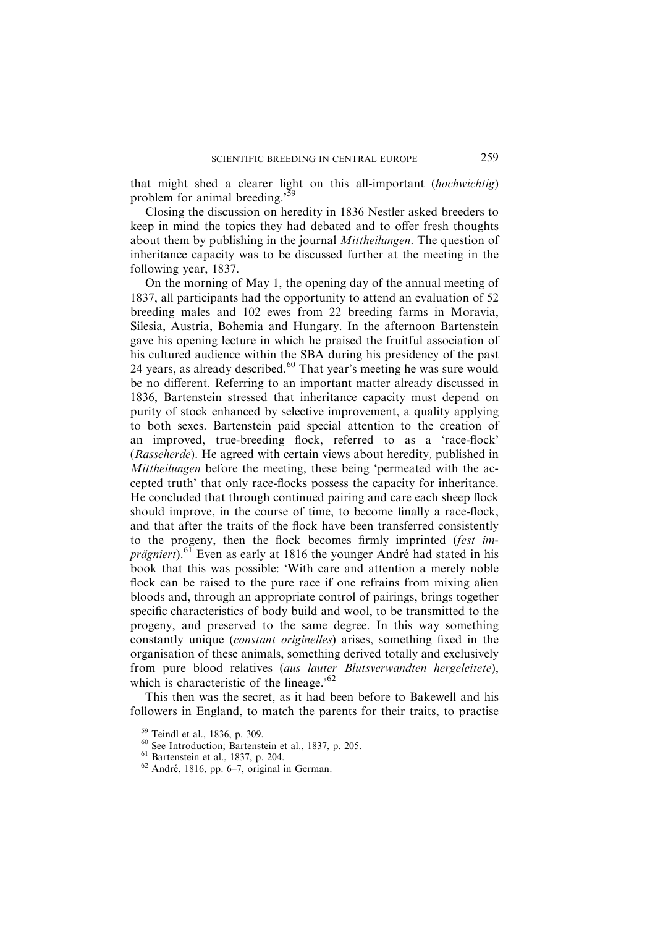that might shed a clearer light on this all-important (hochwichtig) problem for animal breeding.<sup>59</sup>

Closing the discussion on heredity in 1836 Nestler asked breeders to keep in mind the topics they had debated and to offer fresh thoughts about them by publishing in the journal Mittheilungen. The question of inheritance capacity was to be discussed further at the meeting in the following year, 1837.

On the morning of May 1, the opening day of the annual meeting of 1837, all participants had the opportunity to attend an evaluation of 52 breeding males and 102 ewes from 22 breeding farms in Moravia, Silesia, Austria, Bohemia and Hungary. In the afternoon Bartenstein gave his opening lecture in which he praised the fruitful association of his cultured audience within the SBA during his presidency of the past 24 years, as already described.<sup>60</sup> That year's meeting he was sure would be no different. Referring to an important matter already discussed in 1836, Bartenstein stressed that inheritance capacity must depend on purity of stock enhanced by selective improvement, a quality applying to both sexes. Bartenstein paid special attention to the creation of an improved, true-breeding flock, referred to as a 'race-flock' (Rasseherde). He agreed with certain views about heredity, published in Mittheilungen before the meeting, these being 'permeated with the accepted truth' that only race-flocks possess the capacity for inheritance. He concluded that through continued pairing and care each sheep flock should improve, in the course of time, to become finally a race-flock, and that after the traits of the flock have been transferred consistently to the progeny, then the flock becomes firmly imprinted (fest im*prägniert*).<sup>61</sup> Even as early at 1816 the younger André had stated in his book that this was possible: 'With care and attention a merely noble flock can be raised to the pure race if one refrains from mixing alien bloods and, through an appropriate control of pairings, brings together specific characteristics of body build and wool, to be transmitted to the progeny, and preserved to the same degree. In this way something constantly unique (constant originelles) arises, something fixed in the organisation of these animals, something derived totally and exclusively from pure blood relatives (aus lauter Blutsverwandten hergeleitete), which is characteristic of the lineage.'<sup>62</sup>

This then was the secret, as it had been before to Bakewell and his followers in England, to match the parents for their traits, to practise

<sup>&</sup>lt;sup>59</sup> Teindl et al., 1836, p. 309.<br><sup>60</sup> See Introduction; Bartenstein et al., 1837, p. 205.<br><sup>61</sup> Bartenstein et al., 1837, p. 204.<br><sup>62</sup> André, 1816, pp. 6–7, original in German.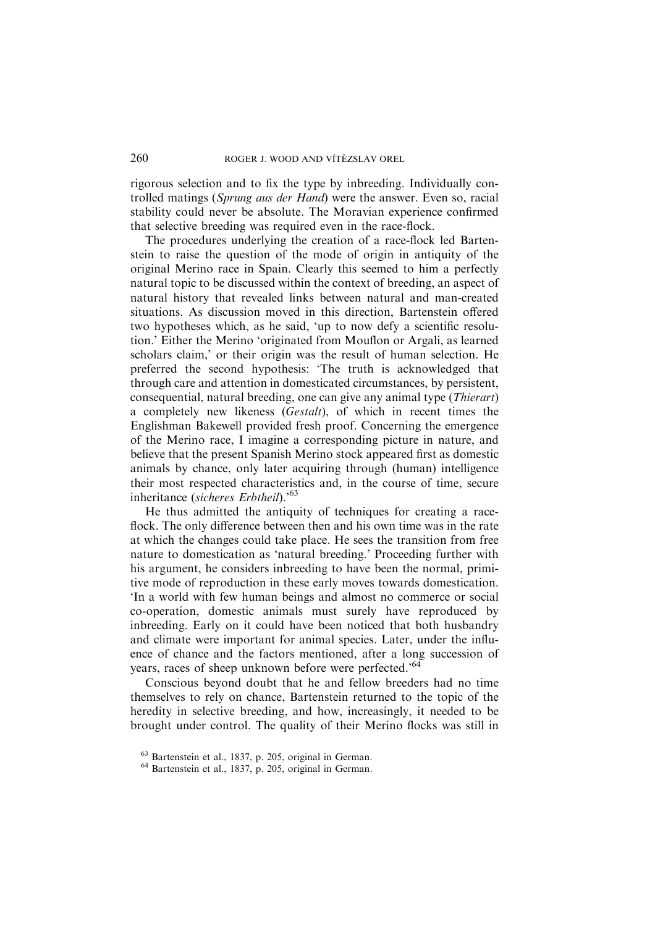rigorous selection and to fix the type by inbreeding. Individually controlled matings (Sprung aus der Hand) were the answer. Even so, racial stability could never be absolute. The Moravian experience confirmed that selective breeding was required even in the race-flock.

The procedures underlying the creation of a race-flock led Bartenstein to raise the question of the mode of origin in antiquity of the original Merino race in Spain. Clearly this seemed to him a perfectly natural topic to be discussed within the context of breeding, an aspect of natural history that revealed links between natural and man-created situations. As discussion moved in this direction, Bartenstein offered two hypotheses which, as he said, 'up to now defy a scientific resolution.' Either the Merino 'originated from Mouflon or Argali, as learned scholars claim,' or their origin was the result of human selection. He preferred the second hypothesis: 'The truth is acknowledged that through care and attention in domesticated circumstances, by persistent, consequential, natural breeding, one can give any animal type (Thierart) a completely new likeness (Gestalt), of which in recent times the Englishman Bakewell provided fresh proof. Concerning the emergence of the Merino race, I imagine a corresponding picture in nature, and believe that the present Spanish Merino stock appeared first as domestic animals by chance, only later acquiring through (human) intelligence their most respected characteristics and, in the course of time, secure inheritance (sicheres Erbtheil).<sup>63</sup>

He thus admitted the antiquity of techniques for creating a raceflock. The only difference between then and his own time was in the rate at which the changes could take place. He sees the transition from free nature to domestication as 'natural breeding.' Proceeding further with his argument, he considers inbreeding to have been the normal, primitive mode of reproduction in these early moves towards domestication. 'In a world with few human beings and almost no commerce or social co-operation, domestic animals must surely have reproduced by inbreeding. Early on it could have been noticed that both husbandry and climate were important for animal species. Later, under the influence of chance and the factors mentioned, after a long succession of years, races of sheep unknown before were perfected.'<sup>64</sup>

Conscious beyond doubt that he and fellow breeders had no time themselves to rely on chance, Bartenstein returned to the topic of the heredity in selective breeding, and how, increasingly, it needed to be brought under control. The quality of their Merino flocks was still in

 $^{63}$  Bartenstein et al., 1837, p. 205, original in German.  $^{64}$  Bartenstein et al., 1837, p. 205, original in German.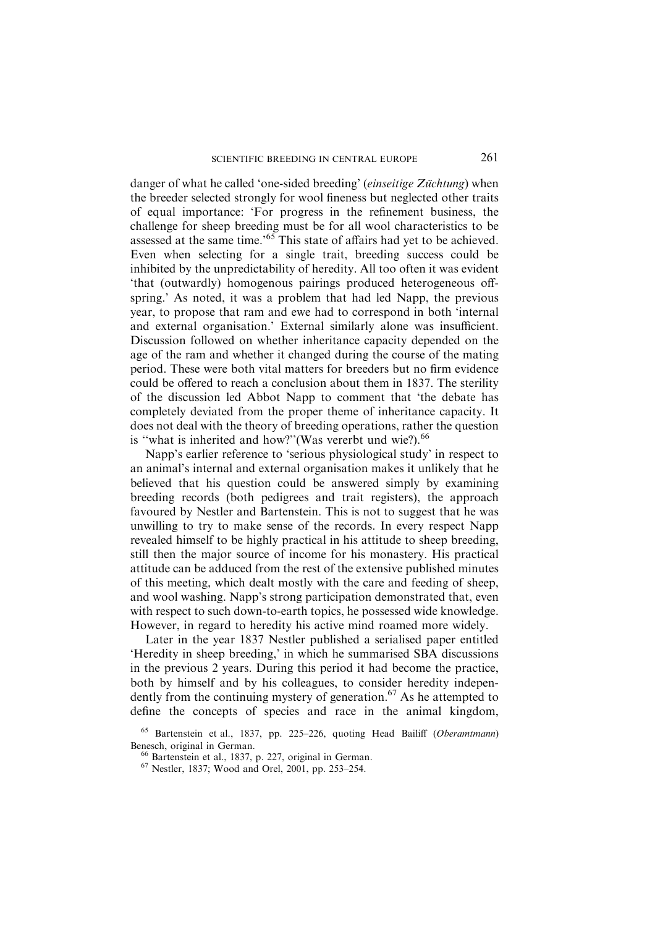danger of what he called 'one-sided breeding' (einseitige Züchtung) when the breeder selected strongly for wool fineness but neglected other traits of equal importance: 'For progress in the refinement business, the challenge for sheep breeding must be for all wool characteristics to be assessed at the same time.<sup> $65$ </sup>This state of affairs had yet to be achieved. Even when selecting for a single trait, breeding success could be inhibited by the unpredictability of heredity. All too often it was evident 'that (outwardly) homogenous pairings produced heterogeneous offspring.' As noted, it was a problem that had led Napp, the previous year, to propose that ram and ewe had to correspond in both 'internal and external organisation.' External similarly alone was insufficient. Discussion followed on whether inheritance capacity depended on the age of the ram and whether it changed during the course of the mating period. These were both vital matters for breeders but no firm evidence could be offered to reach a conclusion about them in 1837. The sterility of the discussion led Abbot Napp to comment that 'the debate has completely deviated from the proper theme of inheritance capacity. It does not deal with the theory of breeding operations, rather the question is "what is inherited and how?"(Was vererbt und wie?). $66$ 

Napp's earlier reference to 'serious physiological study' in respect to an animal's internal and external organisation makes it unlikely that he believed that his question could be answered simply by examining breeding records (both pedigrees and trait registers), the approach favoured by Nestler and Bartenstein. This is not to suggest that he was unwilling to try to make sense of the records. In every respect Napp revealed himself to be highly practical in his attitude to sheep breeding, still then the major source of income for his monastery. His practical attitude can be adduced from the rest of the extensive published minutes of this meeting, which dealt mostly with the care and feeding of sheep, and wool washing. Napp's strong participation demonstrated that, even with respect to such down-to-earth topics, he possessed wide knowledge. However, in regard to heredity his active mind roamed more widely.

Later in the year 1837 Nestler published a serialised paper entitled 'Heredity in sheep breeding,' in which he summarised SBA discussions in the previous 2 years. During this period it had become the practice, both by himself and by his colleagues, to consider heredity independently from the continuing mystery of generation.<sup>67</sup> As he attempted to define the concepts of species and race in the animal kingdom,

<sup>65</sup> Bartenstein et al., 1837, pp. 225–226, quoting Head Bailiff (Oberamtmann) Benesch, original in German.<br><sup>66</sup> Bartenstein et al., 1837, p. 227, original in German.<br><sup>67</sup> Nestler, 1837; Wood and Orel, 2001, pp. 253–254.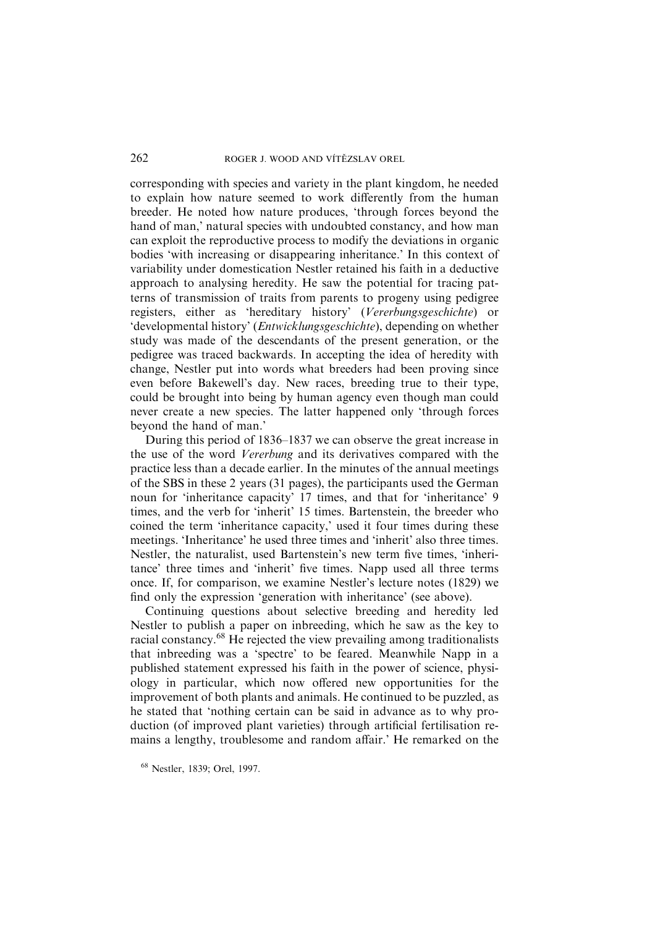corresponding with species and variety in the plant kingdom, he needed to explain how nature seemed to work differently from the human breeder. He noted how nature produces, 'through forces beyond the hand of man,' natural species with undoubted constancy, and how man can exploit the reproductive process to modify the deviations in organic bodies 'with increasing or disappearing inheritance.' In this context of variability under domestication Nestler retained his faith in a deductive approach to analysing heredity. He saw the potential for tracing patterns of transmission of traits from parents to progeny using pedigree registers, either as 'hereditary history' (Vererbungsgeschichte) or 'developmental history' (Entwicklungsgeschichte), depending on whether study was made of the descendants of the present generation, or the pedigree was traced backwards. In accepting the idea of heredity with change, Nestler put into words what breeders had been proving since even before Bakewell's day. New races, breeding true to their type, could be brought into being by human agency even though man could never create a new species. The latter happened only 'through forces beyond the hand of man.'

During this period of 1836–1837 we can observe the great increase in the use of the word Vererbung and its derivatives compared with the practice less than a decade earlier. In the minutes of the annual meetings of the SBS in these 2 years (31 pages), the participants used the German noun for 'inheritance capacity' 17 times, and that for 'inheritance' 9 times, and the verb for 'inherit' 15 times. Bartenstein, the breeder who coined the term 'inheritance capacity,' used it four times during these meetings. 'Inheritance' he used three times and 'inherit' also three times. Nestler, the naturalist, used Bartenstein's new term five times, 'inheritance' three times and 'inherit' five times. Napp used all three terms once. If, for comparison, we examine Nestler's lecture notes (1829) we find only the expression 'generation with inheritance' (see above).

Continuing questions about selective breeding and heredity led Nestler to publish a paper on inbreeding, which he saw as the key to racial constancy.<sup>68</sup> He rejected the view prevailing among traditionalists that inbreeding was a 'spectre' to be feared. Meanwhile Napp in a published statement expressed his faith in the power of science, physiology in particular, which now offered new opportunities for the improvement of both plants and animals. He continued to be puzzled, as he stated that 'nothing certain can be said in advance as to why production (of improved plant varieties) through artificial fertilisation remains a lengthy, troublesome and random affair.' He remarked on the

<sup>68</sup> Nestler, 1839; Orel, 1997.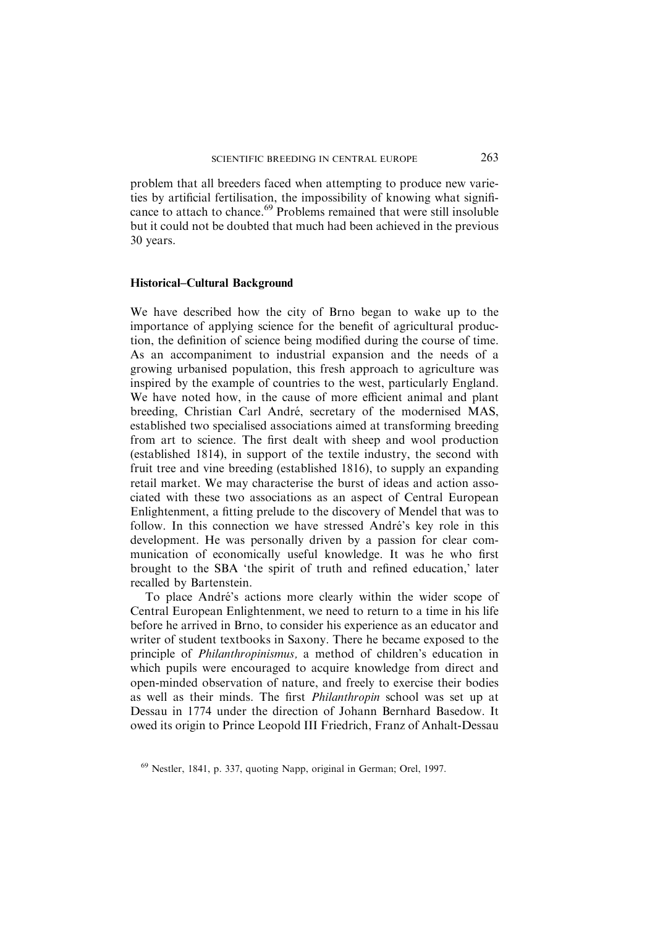problem that all breeders faced when attempting to produce new varieties by artificial fertilisation, the impossibility of knowing what significance to attach to chance.<sup>69</sup> Problems remained that were still insoluble but it could not be doubted that much had been achieved in the previous 30 years.

## Historical–Cultural Background

We have described how the city of Brno began to wake up to the importance of applying science for the benefit of agricultural production, the definition of science being modified during the course of time. As an accompaniment to industrial expansion and the needs of a growing urbanised population, this fresh approach to agriculture was inspired by the example of countries to the west, particularly England. We have noted how, in the cause of more efficient animal and plant breeding, Christian Carl André, secretary of the modernised MAS, established two specialised associations aimed at transforming breeding from art to science. The first dealt with sheep and wool production (established 1814), in support of the textile industry, the second with fruit tree and vine breeding (established 1816), to supply an expanding retail market. We may characterise the burst of ideas and action associated with these two associations as an aspect of Central European Enlightenment, a fitting prelude to the discovery of Mendel that was to follow. In this connection we have stressed André's key role in this development. He was personally driven by a passion for clear communication of economically useful knowledge. It was he who first brought to the SBA 'the spirit of truth and refined education,' later recalled by Bartenstein.

To place André's actions more clearly within the wider scope of Central European Enlightenment, we need to return to a time in his life before he arrived in Brno, to consider his experience as an educator and writer of student textbooks in Saxony. There he became exposed to the principle of Philanthropinismus, a method of children's education in which pupils were encouraged to acquire knowledge from direct and open-minded observation of nature, and freely to exercise their bodies as well as their minds. The first Philanthropin school was set up at Dessau in 1774 under the direction of Johann Bernhard Basedow. It owed its origin to Prince Leopold III Friedrich, Franz of Anhalt-Dessau

<sup>69</sup> Nestler, 1841, p. 337, quoting Napp, original in German; Orel, 1997.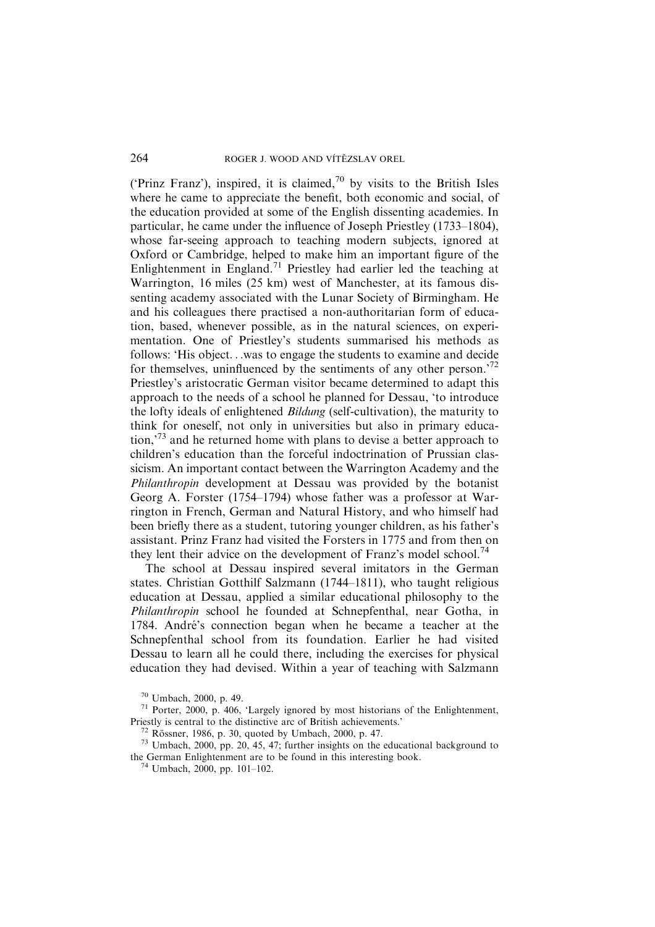('Prinz Franz'), inspired, it is claimed,<sup>70</sup> by visits to the British Isles where he came to appreciate the benefit, both economic and social, of the education provided at some of the English dissenting academies. In particular, he came under the influence of Joseph Priestley (1733–1804), whose far-seeing approach to teaching modern subjects, ignored at Oxford or Cambridge, helped to make him an important figure of the Enlightenment in England.<sup>71</sup> Priestley had earlier led the teaching at Warrington, 16 miles (25 km) west of Manchester, at its famous dissenting academy associated with the Lunar Society of Birmingham. He and his colleagues there practised a non-authoritarian form of education, based, whenever possible, as in the natural sciences, on experimentation. One of Priestley's students summarised his methods as follows: 'His object...was to engage the students to examine and decide for themselves, uninfluenced by the sentiments of any other person.<sup>72</sup> Priestley's aristocratic German visitor became determined to adapt this approach to the needs of a school he planned for Dessau, 'to introduce the lofty ideals of enlightened Bildung (self-cultivation), the maturity to think for oneself, not only in universities but also in primary education,'73 and he returned home with plans to devise a better approach to children's education than the forceful indoctrination of Prussian classicism. An important contact between the Warrington Academy and the Philanthropin development at Dessau was provided by the botanist Georg A. Forster (1754–1794) whose father was a professor at Warrington in French, German and Natural History, and who himself had been briefly there as a student, tutoring younger children, as his father's assistant. Prinz Franz had visited the Forsters in 1775 and from then on they lent their advice on the development of Franz's model school.<sup>74</sup>

The school at Dessau inspired several imitators in the German states. Christian Gotthilf Salzmann (1744–1811), who taught religious education at Dessau, applied a similar educational philosophy to the Philanthropin school he founded at Schnepfenthal, near Gotha, in 1784. André's connection began when he became a teacher at the Schnepfenthal school from its foundation. Earlier he had visited Dessau to learn all he could there, including the exercises for physical education they had devised. Within a year of teaching with Salzmann

<sup>&</sup>lt;sup>70</sup> Umbach, 2000, p. 49.<br><sup>71</sup> Porter, 2000, p. 406, 'Largely ignored by most historians of the Enlightenment, Priestly is central to the distinctive arc of British achievements.'

<sup>&</sup>lt;sup>72</sup> Rössner, 1986, p. 30, quoted by Umbach, 2000, p. 47.<br><sup>73</sup> Umbach, 2000, pp. 20, 45, 47; further insights on the educational background to the German Enlightenment are to be found in this interesting book. <sup>74</sup> Umbach, 2000, pp. 101–102.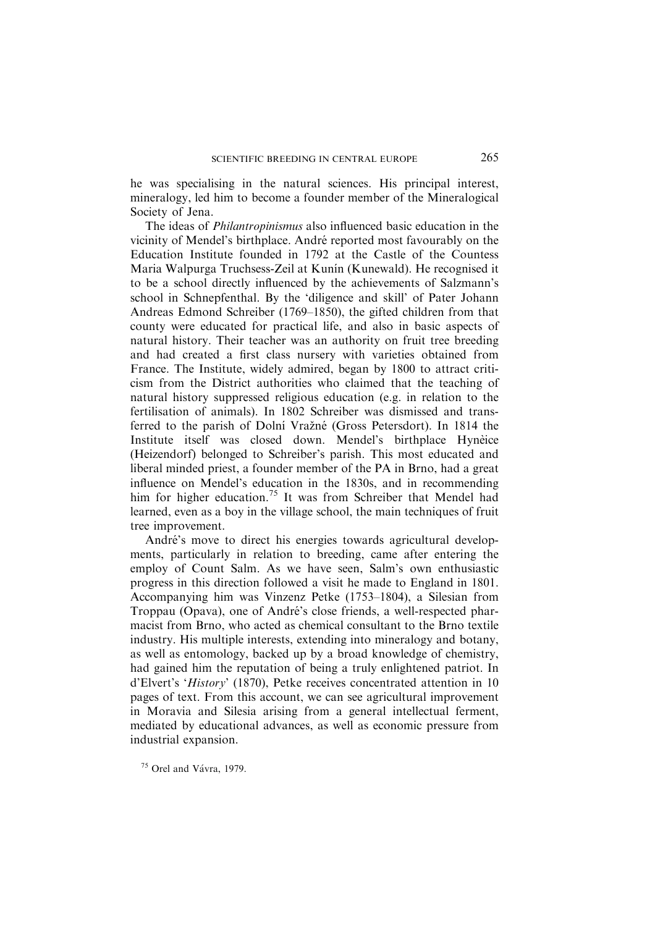he was specialising in the natural sciences. His principal interest, mineralogy, led him to become a founder member of the Mineralogical Society of Jena.

The ideas of Philantropinismus also influenced basic education in the vicinity of Mendel's birthplace. André reported most favourably on the Education Institute founded in 1792 at the Castle of the Countess Maria Walpurga Truchsess-Zeil at Kunín (Kunewald). He recognised it to be a school directly influenced by the achievements of Salzmann's school in Schnepfenthal. By the 'diligence and skill' of Pater Johann Andreas Edmond Schreiber (1769–1850), the gifted children from that county were educated for practical life, and also in basic aspects of natural history. Their teacher was an authority on fruit tree breeding and had created a first class nursery with varieties obtained from France. The Institute, widely admired, began by 1800 to attract criticism from the District authorities who claimed that the teaching of natural history suppressed religious education (e.g. in relation to the fertilisation of animals). In 1802 Schreiber was dismissed and transferred to the parish of Dolní Vražné (Gross Petersdort). In 1814 the Institute itself was closed down. Mendel's birthplace Hynèice (Heizendorf) belonged to Schreiber's parish. This most educated and liberal minded priest, a founder member of the PA in Brno, had a great influence on Mendel's education in the 1830s, and in recommending him for higher education.<sup>75</sup> It was from Schreiber that Mendel had learned, even as a boy in the village school, the main techniques of fruit tree improvement.

André's move to direct his energies towards agricultural developments, particularly in relation to breeding, came after entering the employ of Count Salm. As we have seen, Salm's own enthusiastic progress in this direction followed a visit he made to England in 1801. Accompanying him was Vinzenz Petke (1753–1804), a Silesian from Troppau (Opava), one of André's close friends, a well-respected pharmacist from Brno, who acted as chemical consultant to the Brno textile industry. His multiple interests, extending into mineralogy and botany, as well as entomology, backed up by a broad knowledge of chemistry, had gained him the reputation of being a truly enlightened patriot. In d'Elvert's 'History' (1870), Petke receives concentrated attention in 10 pages of text. From this account, we can see agricultural improvement in Moravia and Silesia arising from a general intellectual ferment, mediated by educational advances, as well as economic pressure from industrial expansion.

 $75$  Orel and Vávra, 1979.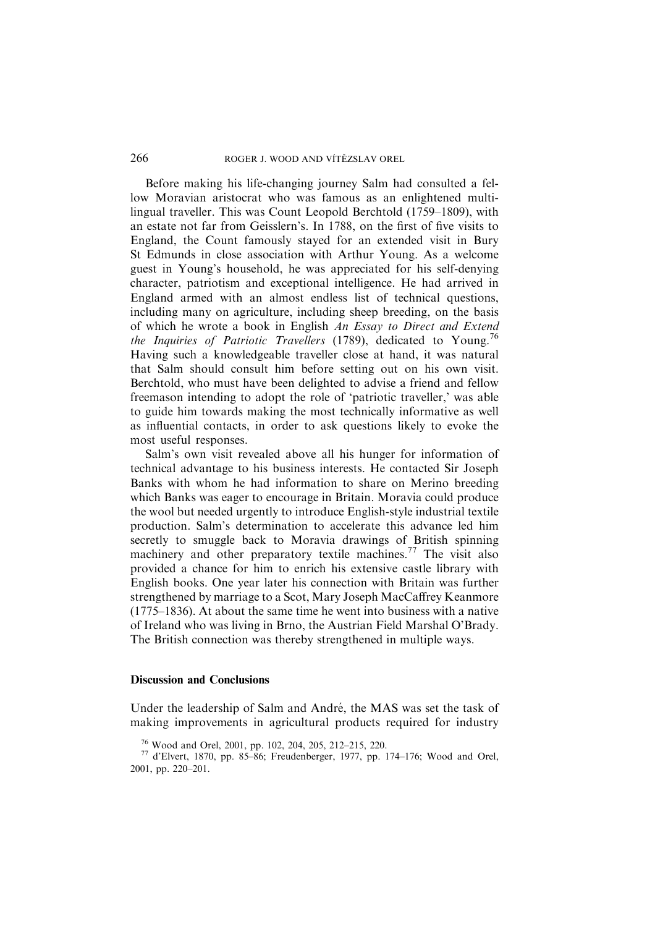Before making his life-changing journey Salm had consulted a fellow Moravian aristocrat who was famous as an enlightened multilingual traveller. This was Count Leopold Berchtold (1759–1809), with an estate not far from Geisslern's. In 1788, on the first of five visits to England, the Count famously stayed for an extended visit in Bury St Edmunds in close association with Arthur Young. As a welcome guest in Young's household, he was appreciated for his self-denying character, patriotism and exceptional intelligence. He had arrived in England armed with an almost endless list of technical questions, including many on agriculture, including sheep breeding, on the basis of which he wrote a book in English An Essay to Direct and Extend the Inquiries of Patriotic Travellers (1789), dedicated to Young.<sup>76</sup> Having such a knowledgeable traveller close at hand, it was natural that Salm should consult him before setting out on his own visit. Berchtold, who must have been delighted to advise a friend and fellow freemason intending to adopt the role of 'patriotic traveller,' was able to guide him towards making the most technically informative as well as influential contacts, in order to ask questions likely to evoke the most useful responses.

Salm's own visit revealed above all his hunger for information of technical advantage to his business interests. He contacted Sir Joseph Banks with whom he had information to share on Merino breeding which Banks was eager to encourage in Britain. Moravia could produce the wool but needed urgently to introduce English-style industrial textile production. Salm's determination to accelerate this advance led him secretly to smuggle back to Moravia drawings of British spinning machinery and other preparatory textile machines.<sup>77</sup> The visit also provided a chance for him to enrich his extensive castle library with English books. One year later his connection with Britain was further strengthened by marriage to a Scot, Mary Joseph MacCaffrey Keanmore (1775–1836). At about the same time he went into business with a native of Ireland who was living in Brno, the Austrian Field Marshal O'Brady. The British connection was thereby strengthened in multiple ways.

#### Discussion and Conclusions

Under the leadership of Salm and André, the MAS was set the task of making improvements in agricultural products required for industry

<sup>76</sup> Wood and Orel, 2001, pp. 102, 204, 205, 212–215, 220. <sup>77</sup> d'Elvert, 1870, pp. 85–86; Freudenberger, 1977, pp. 174–176; Wood and Orel, 2001, pp. 220–201.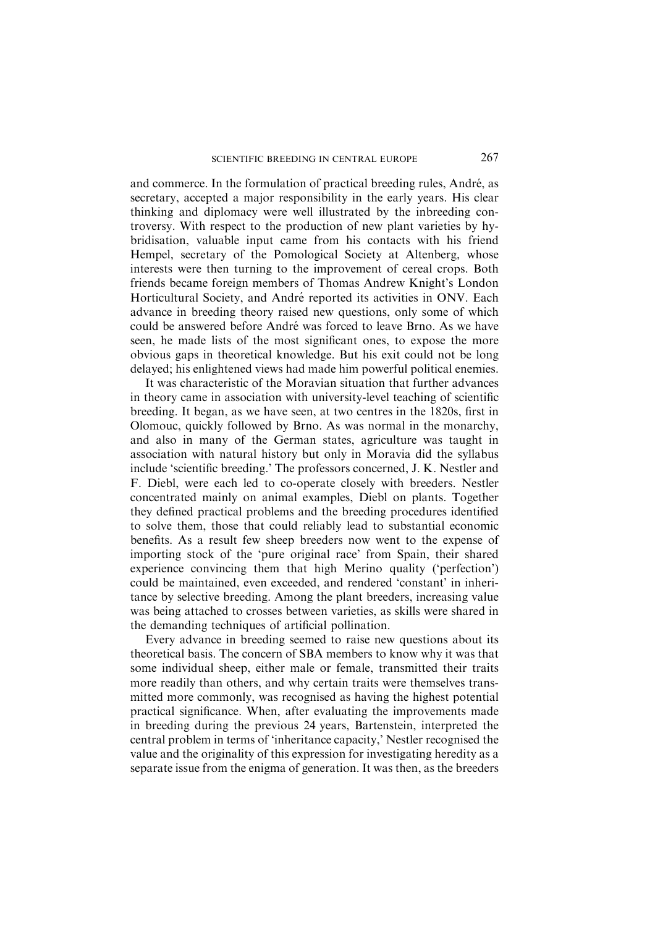and commerce. In the formulation of practical breeding rules, André, as secretary, accepted a major responsibility in the early years. His clear thinking and diplomacy were well illustrated by the inbreeding controversy. With respect to the production of new plant varieties by hybridisation, valuable input came from his contacts with his friend Hempel, secretary of the Pomological Society at Altenberg, whose interests were then turning to the improvement of cereal crops. Both friends became foreign members of Thomas Andrew Knight's London Horticultural Society, and André reported its activities in ONV. Each advance in breeding theory raised new questions, only some of which could be answered before André was forced to leave Brno. As we have seen, he made lists of the most significant ones, to expose the more obvious gaps in theoretical knowledge. But his exit could not be long delayed; his enlightened views had made him powerful political enemies.

It was characteristic of the Moravian situation that further advances in theory came in association with university-level teaching of scientific breeding. It began, as we have seen, at two centres in the 1820s, first in Olomouc, quickly followed by Brno. As was normal in the monarchy, and also in many of the German states, agriculture was taught in association with natural history but only in Moravia did the syllabus include 'scientific breeding.' The professors concerned, J. K. Nestler and F. Diebl, were each led to co-operate closely with breeders. Nestler concentrated mainly on animal examples, Diebl on plants. Together they defined practical problems and the breeding procedures identified to solve them, those that could reliably lead to substantial economic benefits. As a result few sheep breeders now went to the expense of importing stock of the 'pure original race' from Spain, their shared experience convincing them that high Merino quality ('perfection') could be maintained, even exceeded, and rendered 'constant' in inheritance by selective breeding. Among the plant breeders, increasing value was being attached to crosses between varieties, as skills were shared in the demanding techniques of artificial pollination.

Every advance in breeding seemed to raise new questions about its theoretical basis. The concern of SBA members to know why it was that some individual sheep, either male or female, transmitted their traits more readily than others, and why certain traits were themselves transmitted more commonly, was recognised as having the highest potential practical significance. When, after evaluating the improvements made in breeding during the previous 24 years, Bartenstein, interpreted the central problem in terms of 'inheritance capacity,' Nestler recognised the value and the originality of this expression for investigating heredity as a separate issue from the enigma of generation. It was then, as the breeders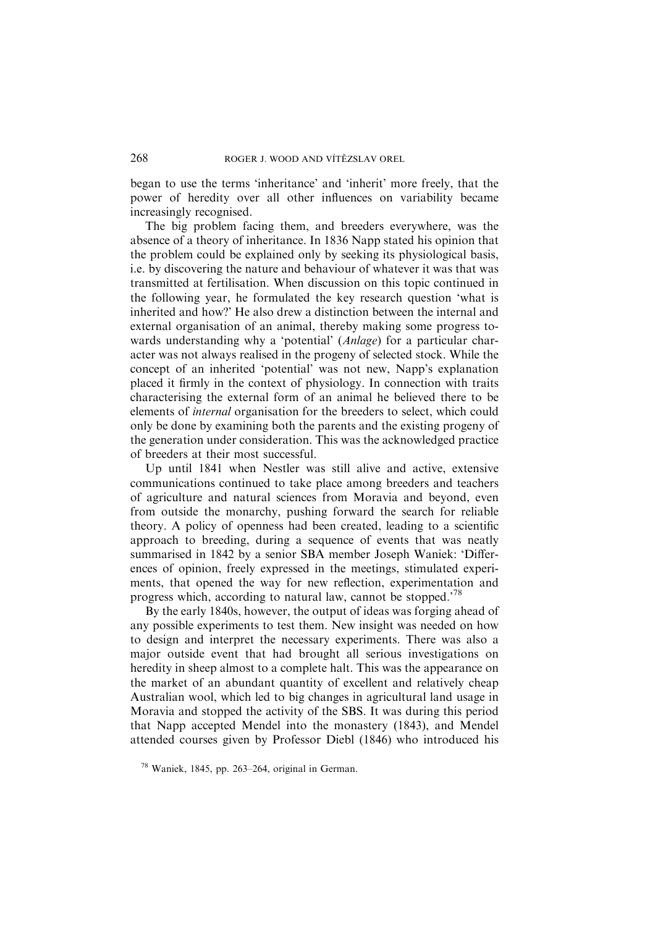began to use the terms 'inheritance' and 'inherit' more freely, that the power of heredity over all other influences on variability became increasingly recognised.

The big problem facing them, and breeders everywhere, was the absence of a theory of inheritance. In 1836 Napp stated his opinion that the problem could be explained only by seeking its physiological basis, i.e. by discovering the nature and behaviour of whatever it was that was transmitted at fertilisation. When discussion on this topic continued in the following year, he formulated the key research question 'what is inherited and how?' He also drew a distinction between the internal and external organisation of an animal, thereby making some progress towards understanding why a 'potential' (Anlage) for a particular character was not always realised in the progeny of selected stock. While the concept of an inherited 'potential' was not new, Napp's explanation placed it firmly in the context of physiology. In connection with traits characterising the external form of an animal he believed there to be elements of internal organisation for the breeders to select, which could only be done by examining both the parents and the existing progeny of the generation under consideration. This was the acknowledged practice of breeders at their most successful.

Up until 1841 when Nestler was still alive and active, extensive communications continued to take place among breeders and teachers of agriculture and natural sciences from Moravia and beyond, even from outside the monarchy, pushing forward the search for reliable theory. A policy of openness had been created, leading to a scientific approach to breeding, during a sequence of events that was neatly summarised in 1842 by a senior SBA member Joseph Waniek: 'Differences of opinion, freely expressed in the meetings, stimulated experiments, that opened the way for new reflection, experimentation and progress which, according to natural law, cannot be stopped.'78

By the early 1840s, however, the output of ideas was forging ahead of any possible experiments to test them. New insight was needed on how to design and interpret the necessary experiments. There was also a major outside event that had brought all serious investigations on heredity in sheep almost to a complete halt. This was the appearance on the market of an abundant quantity of excellent and relatively cheap Australian wool, which led to big changes in agricultural land usage in Moravia and stopped the activity of the SBS. It was during this period that Napp accepted Mendel into the monastery (1843), and Mendel attended courses given by Professor Diebl (1846) who introduced his

 $78$  Waniek, 1845, pp. 263–264, original in German.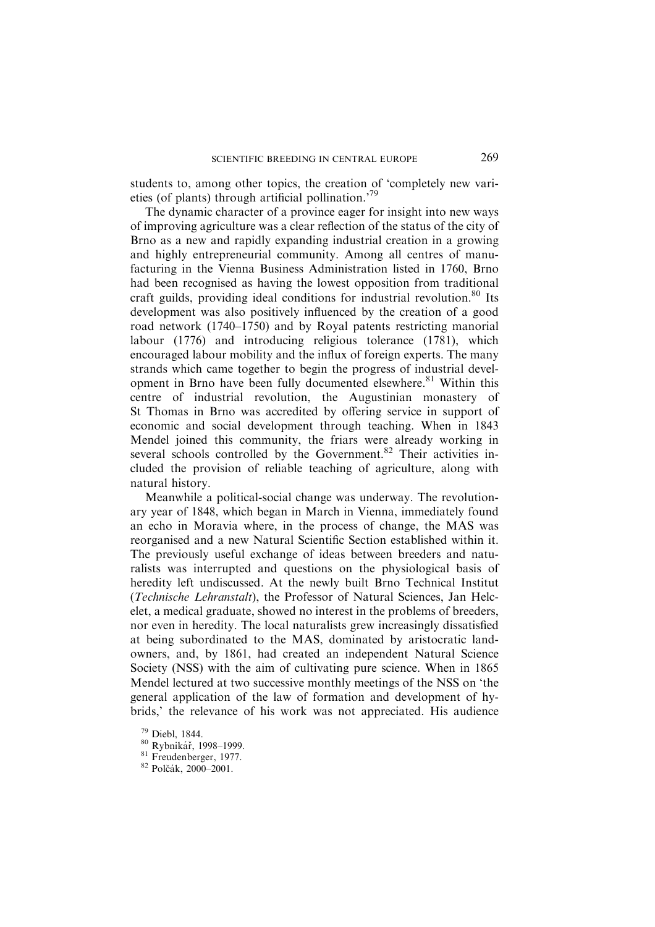students to, among other topics, the creation of 'completely new varieties (of plants) through artificial pollination.'79

The dynamic character of a province eager for insight into new ways of improving agriculture was a clear reflection of the status of the city of Brno as a new and rapidly expanding industrial creation in a growing and highly entrepreneurial community. Among all centres of manufacturing in the Vienna Business Administration listed in 1760, Brno had been recognised as having the lowest opposition from traditional craft guilds, providing ideal conditions for industrial revolution.<sup>80</sup> Its development was also positively influenced by the creation of a good road network (1740–1750) and by Royal patents restricting manorial labour (1776) and introducing religious tolerance (1781), which encouraged labour mobility and the influx of foreign experts. The many strands which came together to begin the progress of industrial development in Brno have been fully documented elsewhere.<sup>81</sup> Within this centre of industrial revolution, the Augustinian monastery of St Thomas in Brno was accredited by offering service in support of economic and social development through teaching. When in 1843 Mendel joined this community, the friars were already working in several schools controlled by the Government.<sup>82</sup> Their activities included the provision of reliable teaching of agriculture, along with natural history.

Meanwhile a political-social change was underway. The revolutionary year of 1848, which began in March in Vienna, immediately found an echo in Moravia where, in the process of change, the MAS was reorganised and a new Natural Scientific Section established within it. The previously useful exchange of ideas between breeders and naturalists was interrupted and questions on the physiological basis of heredity left undiscussed. At the newly built Brno Technical Institut (Technische Lehranstalt), the Professor of Natural Sciences, Jan Helcelet, a medical graduate, showed no interest in the problems of breeders, nor even in heredity. The local naturalists grew increasingly dissatisfied at being subordinated to the MAS, dominated by aristocratic landowners, and, by 1861, had created an independent Natural Science Society (NSS) with the aim of cultivating pure science. When in 1865 Mendel lectured at two successive monthly meetings of the NSS on 'the general application of the law of formation and development of hybrids,' the relevance of his work was not appreciated. His audience

<sup>&</sup>lt;sup>79</sup> Diebl, 1844.<br><sup>80</sup> Rybnikář, 1998–1999.<br><sup>81</sup> Freudenberger, 1977.<br><sup>82</sup> Polčák, 2000–2001.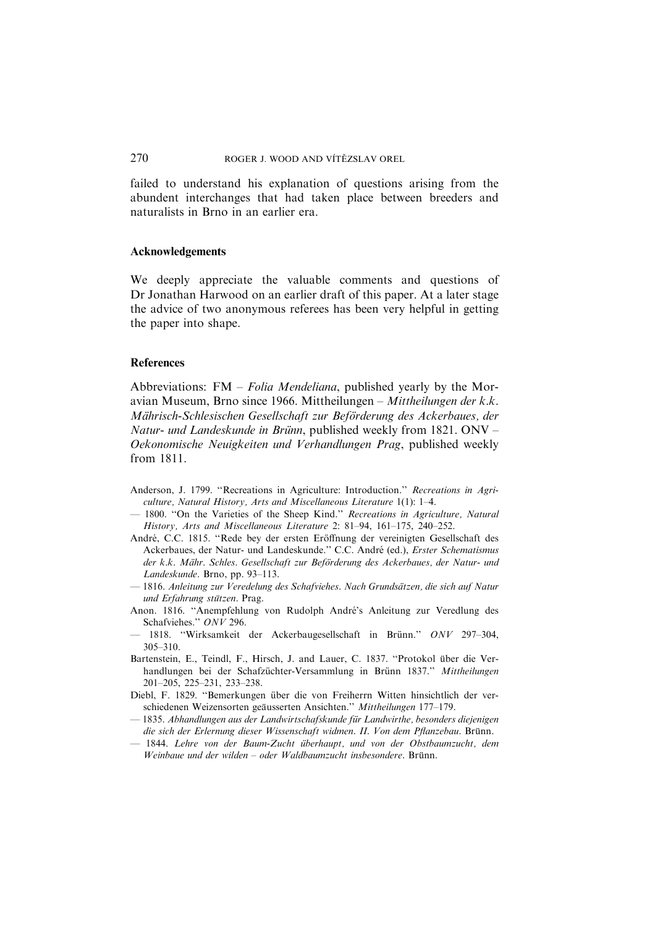failed to understand his explanation of questions arising from the abundent interchanges that had taken place between breeders and naturalists in Brno in an earlier era.

## Acknowledgements

We deeply appreciate the valuable comments and questions of Dr Jonathan Harwood on an earlier draft of this paper. At a later stage the advice of two anonymous referees has been very helpful in getting the paper into shape.

## **References**

Abbreviations: FM – Folia Mendeliana, published yearly by the Moravian Museum, Brno since 1966. Mittheilungen – *Mittheilungen der k.k.* Mährisch-Schlesischen Gesellschaft zur Beförderung des Ackerbaues, der Natur- und Landeskunde in Brünn, published weekly from 1821. ONV – Oekonomische Neuigkeiten und Verhandlungen Prag, published weekly from 1811.

- Anderson, J. 1799. ''Recreations in Agriculture: Introduction.'' Recreations in Agriculture, Natural History, Arts and Miscellaneous Literature 1(1): 1–4.
- 1800. ''On the Varieties of the Sheep Kind.'' Recreations in Agriculture, Natural History, Arts and Miscellaneous Literature 2: 81–94, 161–175, 240–252.
- André, C.C. 1815. "Rede bey der ersten Eröffnung der vereinigten Gesellschaft des Ackerbaues, der Natur- und Landeskunde." C.C. André (ed.), Erster Schematismus der k.k. Mähr. Schles. Gesellschaft zur Beförderung des Ackerbaues, der Natur- und Landeskunde. Brno, pp. 93–113.
- 1816. Anleitung zur Veredelung des Schafviehes. Nach Grundsätzen, die sich auf Natur und Erfahrung stützen. Prag.
- Anon. 1816. ''Anempfehlung von Rudolph Andre´'s Anleitung zur Veredlung des Schafviehes." ONV 296.
- $-1818$ . "Wirksamkeit der Ackerbaugesellschaft in Brünn."  $ONV$  297–304, 305–310.
- Bartenstein, E., Teindl, F., Hirsch, J. and Lauer, C. 1837. "Protokol über die Verhandlungen bei der Schafzüchter-Versammlung in Brünn 1837." Mittheilungen 201–205, 225–231, 233–238.
- Diebl, F. 1829. "Bemerkungen über die von Freiherrn Witten hinsichtlich der verschiedenen Weizensorten geäusserten Ansichten." Mittheilungen 177–179.
- 1835. Abhandlungen aus der Landwirtschafskunde fu¨r Landwirthe, besonders diejenigen die sich der Erlernung dieser Wissenschaft widmen. II. Von dem Pflanzebau. Brünn.
- 1844. Lehre von der Baum-Zucht u¨berhaupt, und von der Obstbaumzucht, dem Weinbaue und der wilden – oder Waldbaumzucht insbesondere. Brünn.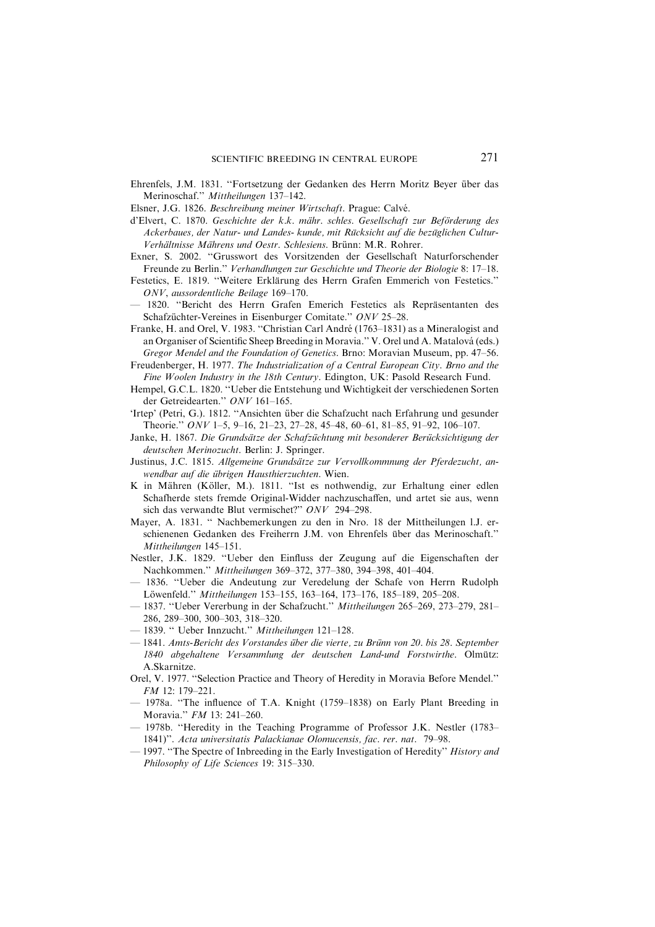- Ehrenfels, J.M. 1831. "Fortsetzung der Gedanken des Herrn Moritz Beyer über das Merinoschaf.'' Mittheilungen 137–142.
- Elsner, J.G. 1826. Beschreibung meiner Wirtschaft. Prague: Calvé.
- d'Elvert, C. 1870. Geschichte der k.k. mähr. schles. Gesellschaft zur Beförderung des Ackerbaues, der Natur- und Landes- kunde, mit Rücksicht auf die bezüglichen Cultur-Verhältnisse Mährens und Oestr. Schlesiens. Brünn: M.R. Rohrer.
- Exner, S. 2002. ''Grusswort des Vorsitzenden der Gesellschaft Naturforschender Freunde zu Berlin.'' Verhandlungen zur Geschichte und Theorie der Biologie 8: 17–18.
- Festetics, E. 1819. "Weitere Erklärung des Herrn Grafen Emmerich von Festetics." ONV, aussordentliche Beilage 169–170.
- 1820. ''Bericht des Herrn Grafen Emerich Festetics als Repra¨sentanten des Schafzüchter-Vereines in Eisenburger Comitate." ONV 25-28.
- Franke, H. and Orel, V. 1983. ''Christian Carl Andre´ (1763–1831) as a Mineralogist and an Organiser of Scientific Sheep Breeding in Moravia." V. Orel und A. Matalová (eds.) Gregor Mendel and the Foundation of Genetics. Brno: Moravian Museum, pp. 47–56.
- Freudenberger, H. 1977. The Industrialization of a Central European City. Brno and the Fine Woolen Industry in the 18th Century. Edington, UK: Pasold Research Fund.
- Hempel, G.C.L. 1820. ''Ueber die Entstehung und Wichtigkeit der verschiedenen Sorten der Getreidearten.'' ONV 161–165.
- 'Irtep' (Petri, G.). 1812. "Ansichten über die Schafzucht nach Erfahrung und gesunder Theorie.'' ONV 1–5, 9–16, 21–23, 27–28, 45–48, 60–61, 81–85, 91–92, 106–107.
- Janke, H. 1867. Die Grundsätze der Schafzüchtung mit besonderer Berücksichtigung der deutschen Merinozucht. Berlin: J. Springer.
- Justinus, J.C. 1815. Allgemeine Grundsätze zur Vervollkommnung der Pferdezucht. anwendbar auf die übrigen Hausthierzuchten. Wien.
- K in Mähren (Köller, M.). 1811. "Ist es nothwendig, zur Erhaltung einer edlen Schafherde stets fremde Original-Widder nachzuschaffen, und artet sie aus, wenn sich das verwandte Blut vermischet?" ONV 294-298.
- Mayer, A. 1831. '' Nachbemerkungen zu den in Nro. 18 der Mittheilungen l.J. erschienenen Gedanken des Freiherrn J.M. von Ehrenfels über das Merinoschaft." Mittheilungen 145–151.
- Nestler, J.K. 1829. ''Ueber den Einfluss der Zeugung auf die Eigenschaften der Nachkommen.'' Mittheilungen 369–372, 377–380, 394–398, 401–404.
- 1836. ''Ueber die Andeutung zur Veredelung der Schafe von Herrn Rudolph Löwenfeld." Mittheilungen 153-155, 163-164, 173-176, 185-189, 205-208.
- 1837. ''Ueber Vererbung in der Schafzucht.'' Mittheilungen 265–269, 273–279, 281– 286, 289–300, 300–303, 318–320.
- 1839. '' Ueber Innzucht.'' Mittheilungen 121–128.
- 1841. Amts-Bericht des Vorstandes u¨ber die vierte, zu Bru¨nn von 20. bis 28. September 1840 abgehaltene Versammlung der deutschen Land-und Forstwirthe. Olmütz: A.Skarnitze.
- Orel, V. 1977. ''Selection Practice and Theory of Heredity in Moravia Before Mendel.'' FM 12: 179–221.
- 1978a. ''The influence of T.A. Knight (1759–1838) on Early Plant Breeding in Moravia.'' FM 13: 241–260.
- 1978b. ''Heredity in the Teaching Programme of Professor J.K. Nestler (1783– 1841)''. Acta universitatis Palackianae Olomucensis, fac. rer. nat. 79–98.
- 1997. "The Spectre of Inbreeding in the Early Investigation of Heredity" History and Philosophy of Life Sciences 19: 315–330.